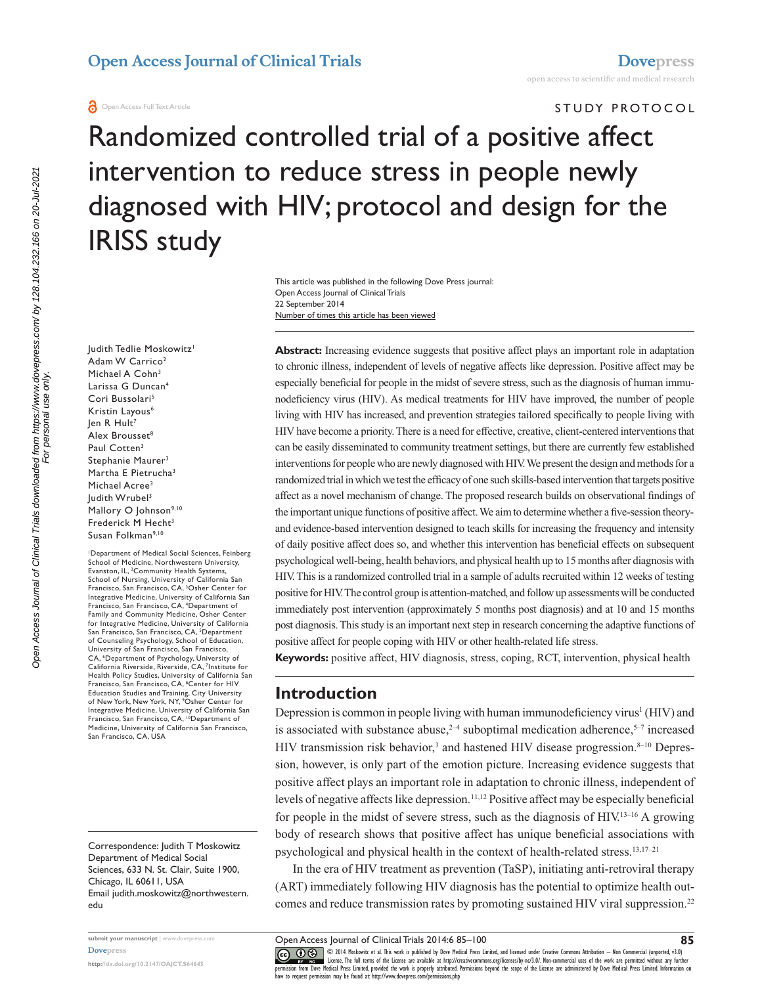#### **a** Open Access Full Text Article

STUDY PROTOCOL

Randomized controlled trial of a positive affect intervention to reduce stress in people newly diagnosed with HIV; protocol and design for the IRISS study

> Number of times this article has been viewed This article was published in the following Dove Press journal: Open Access Journal of Clinical Trials 22 September 2014

Judith Tedlie Moskowitz<sup>1</sup> Adam W Carrico<sup>2</sup> Michael A Cohn<sup>3</sup> Larissa G Duncan4 Cori Bussolari<sup>5</sup> Kristin Layous<sup>6</sup> Jen R Hult<sup>7</sup> Alex Brousset<sup>8</sup> Paul Cotten<sup>3</sup> Stephanie Maurer<sup>3</sup> Martha E Pietrucha<sup>3</sup> Michael Acree<sup>3</sup> Judith Wrubel<sup>3</sup> Mallory O Johnson<sup>9,10</sup> Frederick M Hecht<sup>3</sup> Susan Folkman9,10

1 Department of Medical Social Sciences, Feinberg School of Medicine, Northwestern University, Evanston, IL, <sup>2</sup>Community Health Systems, School of Nursing, University of California San<br>Francisco, San Francisco, CA, <sup>3</sup>Osher Center for Integrative Medicine, University of California San Francisco, San Francisco, CA, 4 Department of Family and Community Medicine, Osher Center for Integrative Medicine, University of California San Francisco, San Francisco, CA, 5 Department of Counseling Psychology, School of Education, University of San Francisco, San Francisco, CA, 6 Department of Psychology, University of California Riverside, Riverside, CA, 7 Institute for Health Policy Studies, University of California San Francisco, San Francisco, CA, 8 Center for HIV Education Studies and Training, City University of New York, New York, NY, 9 Osher Center for Integrative Medicine, University of California San Francisco, San Francisco, CA, <sup>10</sup>Department of Medicine, University of California San Francisco, San Francisco, CA, USA

**submit your manuscript** | <www.dovepress.com> **[Dovepress](www.dovepress.com)**

**<http://dx.doi.org/10.2147/OAJCT.S64645>**

**Abstract:** Increasing evidence suggests that positive affect plays an important role in adaptation to chronic illness, independent of levels of negative affects like depression. Positive affect may be especially beneficial for people in the midst of severe stress, such as the diagnosis of human immunodeficiency virus (HIV). As medical treatments for HIV have improved, the number of people living with HIV has increased, and prevention strategies tailored specifically to people living with HIV have become a priority. There is a need for effective, creative, client-centered interventions that can be easily disseminated to community treatment settings, but there are currently few established interventions for people who are newly diagnosed with HIV. We present the design and methods for a randomized trial in which we test the efficacy of one such skills-based intervention that targets positive affect as a novel mechanism of change. The proposed research builds on observational findings of the important unique functions of positive affect. We aim to determine whether a five-session theoryand evidence-based intervention designed to teach skills for increasing the frequency and intensity of daily positive affect does so, and whether this intervention has beneficial effects on subsequent psychological well-being, health behaviors, and physical health up to 15 months after diagnosis with HIV. This is a randomized controlled trial in a sample of adults recruited within 12 weeks of testing positive for HIV. The control group is attention-matched, and follow up assessments will be conducted immediately post intervention (approximately 5 months post diagnosis) and at 10 and 15 months post diagnosis. This study is an important next step in research concerning the adaptive functions of positive affect for people coping with HIV or other health-related life stress.

**Keywords:** positive affect, HIV diagnosis, stress, coping, RCT, intervention, physical health

#### **Introduction**

Depression is common in people living with human immunodeficiency virus<sup>1</sup> (HIV) and is associated with substance abuse, $2-4$  suboptimal medication adherence, $5-7$  increased HIV transmission risk behavior,<sup>3</sup> and hastened HIV disease progression.<sup>8-10</sup> Depression, however, is only part of the emotion picture. Increasing evidence suggests that positive affect plays an important role in adaptation to chronic illness, independent of levels of negative affects like depression.<sup>11,12</sup> Positive affect may be especially beneficial for people in the midst of severe stress, such as the diagnosis of  $HIV^{13-16}$  A growing body of research shows that positive affect has unique beneficial associations with psychological and physical health in the context of health-related stress.13,17–21

In the era of HIV treatment as prevention (TaSP), initiating anti-retroviral therapy (ART) immediately following HIV diagnosis has the potential to optimize health outcomes and reduce transmission rates by promoting sustained HIV viral suppression.<sup>22</sup>

Open Access Journal of Clinical Trials 2014:6 85–100

CO ODI4 Moskowitz et al. This work is published by Dove Medical Press Limited, and licensed under Creative Commons Attribution - Non Commercial (unported, v3.0)<br> [permission from Dove M](http://www.dovepress.com/permissions.php)edical Press Limited, provided the wor how to request permission may be found at:<http://www.dovepress.com/permissions.php>

Correspondence: Judith T Moskowitz Department of Medical Social Sciences, 633 N. St. Clair, Suite 1900, Chicago, IL 60611, USA Email [judith.moskowitz@northwestern.](mailto:judith.moskowitz@northwestern.edu) [edu](mailto:judith.moskowitz@northwestern.edu)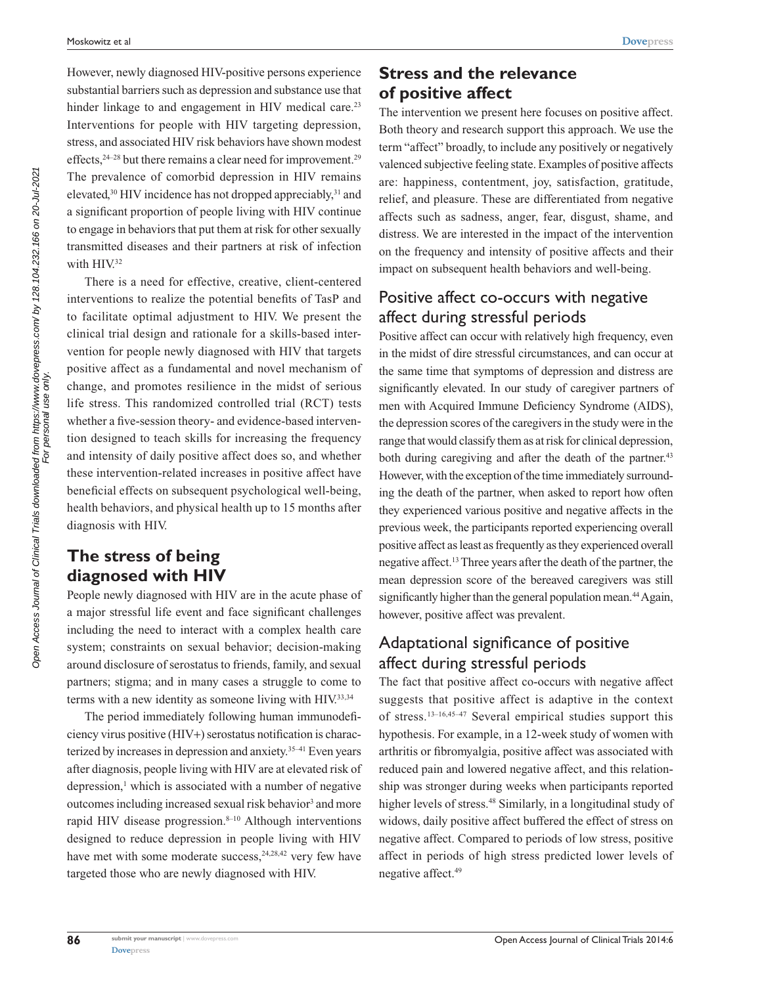However, newly diagnosed HIV-positive persons experience substantial barriers such as depression and substance use that hinder linkage to and engagement in HIV medical care.<sup>23</sup> Interventions for people with HIV targeting depression, stress, and associated HIV risk behaviors have shown modest effects, $24-28$  but there remains a clear need for improvement.<sup>29</sup> The prevalence of comorbid depression in HIV remains elevated,<sup>30</sup> HIV incidence has not dropped appreciably,<sup>31</sup> and a significant proportion of people living with HIV continue to engage in behaviors that put them at risk for other sexually transmitted diseases and their partners at risk of infection with HIV.<sup>32</sup>

There is a need for effective, creative, client-centered interventions to realize the potential benefits of TasP and to facilitate optimal adjustment to HIV. We present the clinical trial design and rationale for a skills-based intervention for people newly diagnosed with HIV that targets positive affect as a fundamental and novel mechanism of change, and promotes resilience in the midst of serious life stress. This randomized controlled trial (RCT) tests whether a five-session theory- and evidence-based intervention designed to teach skills for increasing the frequency and intensity of daily positive affect does so, and whether these intervention-related increases in positive affect have beneficial effects on subsequent psychological well-being, health behaviors, and physical health up to 15 months after diagnosis with HIV.

# **The stress of being diagnosed with HIV**

People newly diagnosed with HIV are in the acute phase of a major stressful life event and face significant challenges including the need to interact with a complex health care system; constraints on sexual behavior; decision-making around disclosure of serostatus to friends, family, and sexual partners; stigma; and in many cases a struggle to come to terms with a new identity as someone living with HIV.<sup>33,34</sup>

The period immediately following human immunodeficiency virus positive (HIV+) serostatus notification is characterized by increases in depression and anxiety.35–41 Even years after diagnosis, people living with HIV are at elevated risk of depression,<sup>1</sup> which is associated with a number of negative outcomes including increased sexual risk behavior<sup>3</sup> and more rapid HIV disease progression.<sup>8-10</sup> Although interventions designed to reduce depression in people living with HIV have met with some moderate success,<sup>24,28,42</sup> very few have targeted those who are newly diagnosed with HIV.

# **Stress and the relevance of positive affect**

The intervention we present here focuses on positive affect. Both theory and research support this approach. We use the term "affect" broadly, to include any positively or negatively valenced subjective feeling state. Examples of positive affects are: happiness, contentment, joy, satisfaction, gratitude, relief, and pleasure. These are differentiated from negative affects such as sadness, anger, fear, disgust, shame, and distress. We are interested in the impact of the intervention on the frequency and intensity of positive affects and their impact on subsequent health behaviors and well-being.

# Positive affect co-occurs with negative affect during stressful periods

Positive affect can occur with relatively high frequency, even in the midst of dire stressful circumstances, and can occur at the same time that symptoms of depression and distress are significantly elevated. In our study of caregiver partners of men with Acquired Immune Deficiency Syndrome (AIDS), the depression scores of the caregivers in the study were in the range that would classify them as at risk for clinical depression, both during caregiving and after the death of the partner.<sup>43</sup> However, with the exception of the time immediately surrounding the death of the partner, when asked to report how often they experienced various positive and negative affects in the previous week, the participants reported experiencing overall positive affect as least as frequently as they experienced overall negative affect.13 Three years after the death of the partner, the mean depression score of the bereaved caregivers was still significantly higher than the general population mean.<sup>44</sup> Again, however, positive affect was prevalent.

# Adaptational significance of positive affect during stressful periods

The fact that positive affect co-occurs with negative affect suggests that positive affect is adaptive in the context of stress.13–16,45–47 Several empirical studies support this hypothesis. For example, in a 12-week study of women with arthritis or fibromyalgia, positive affect was associated with reduced pain and lowered negative affect, and this relationship was stronger during weeks when participants reported higher levels of stress.<sup>48</sup> Similarly, in a longitudinal study of widows, daily positive affect buffered the effect of stress on negative affect. Compared to periods of low stress, positive affect in periods of high stress predicted lower levels of negative affect.49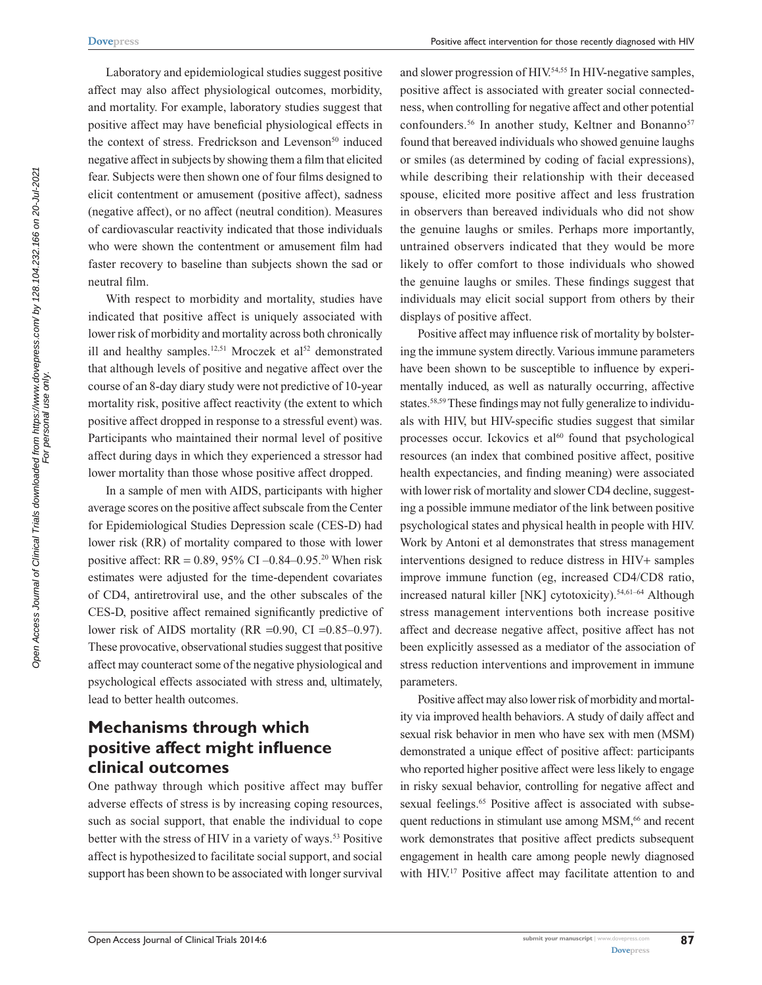Laboratory and epidemiological studies suggest positive affect may also affect physiological outcomes, morbidity, and mortality. For example, laboratory studies suggest that positive affect may have beneficial physiological effects in the context of stress. Fredrickson and Levenson<sup>50</sup> induced negative affect in subjects by showing them a film that elicited fear. Subjects were then shown one of four films designed to elicit contentment or amusement (positive affect), sadness (negative affect), or no affect (neutral condition). Measures of cardiovascular reactivity indicated that those individuals who were shown the contentment or amusement film had faster recovery to baseline than subjects shown the sad or neutral film.

With respect to morbidity and mortality, studies have indicated that positive affect is uniquely associated with lower risk of morbidity and mortality across both chronically ill and healthy samples.<sup>12,51</sup> Mroczek et al<sup>52</sup> demonstrated that although levels of positive and negative affect over the course of an 8-day diary study were not predictive of 10-year mortality risk, positive affect reactivity (the extent to which positive affect dropped in response to a stressful event) was. Participants who maintained their normal level of positive affect during days in which they experienced a stressor had lower mortality than those whose positive affect dropped.

In a sample of men with AIDS, participants with higher average scores on the positive affect subscale from the Center for Epidemiological Studies Depression scale (CES-D) had lower risk (RR) of mortality compared to those with lower positive affect: RR =  $0.89, 95\%$  CI – $0.84 - 0.95$ <sup>20</sup> When risk estimates were adjusted for the time-dependent covariates of CD4, antiretroviral use, and the other subscales of the CES-D, positive affect remained significantly predictive of lower risk of AIDS mortality (RR =0.90, CI =0.85–0.97). These provocative, observational studies suggest that positive affect may counteract some of the negative physiological and psychological effects associated with stress and, ultimately, lead to better health outcomes.

# **Mechanisms through which positive affect might influence clinical outcomes**

One pathway through which positive affect may buffer adverse effects of stress is by increasing coping resources, such as social support, that enable the individual to cope better with the stress of HIV in a variety of ways.<sup>53</sup> Positive affect is hypothesized to facilitate social support, and social support has been shown to be associated with longer survival

and slower progression of HIV.<sup>54,55</sup> In HIV-negative samples, positive affect is associated with greater social connectedness, when controlling for negative affect and other potential confounders.<sup>56</sup> In another study, Keltner and Bonanno<sup>57</sup> found that bereaved individuals who showed genuine laughs or smiles (as determined by coding of facial expressions), while describing their relationship with their deceased spouse, elicited more positive affect and less frustration in observers than bereaved individuals who did not show the genuine laughs or smiles. Perhaps more importantly, untrained observers indicated that they would be more likely to offer comfort to those individuals who showed the genuine laughs or smiles. These findings suggest that individuals may elicit social support from others by their displays of positive affect.

Positive affect may influence risk of mortality by bolstering the immune system directly. Various immune parameters have been shown to be susceptible to influence by experimentally induced, as well as naturally occurring, affective states.<sup>58,59</sup> These findings may not fully generalize to individuals with HIV, but HIV-specific studies suggest that similar processes occur. Ickovics et al<sup>60</sup> found that psychological resources (an index that combined positive affect, positive health expectancies, and finding meaning) were associated with lower risk of mortality and slower CD4 decline, suggesting a possible immune mediator of the link between positive psychological states and physical health in people with HIV. Work by Antoni et al demonstrates that stress management interventions designed to reduce distress in HIV+ samples improve immune function (eg, increased CD4/CD8 ratio, increased natural killer [NK] cytotoxicity).<sup>54,61-64</sup> Although stress management interventions both increase positive affect and decrease negative affect, positive affect has not been explicitly assessed as a mediator of the association of stress reduction interventions and improvement in immune parameters.

Positive affect may also lower risk of morbidity and mortality via improved health behaviors. A study of daily affect and sexual risk behavior in men who have sex with men (MSM) demonstrated a unique effect of positive affect: participants who reported higher positive affect were less likely to engage in risky sexual behavior, controlling for negative affect and sexual feelings.<sup>65</sup> Positive affect is associated with subsequent reductions in stimulant use among MSM,<sup>66</sup> and recent work demonstrates that positive affect predicts subsequent engagement in health care among people newly diagnosed with HIV.<sup>17</sup> Positive affect may facilitate attention to and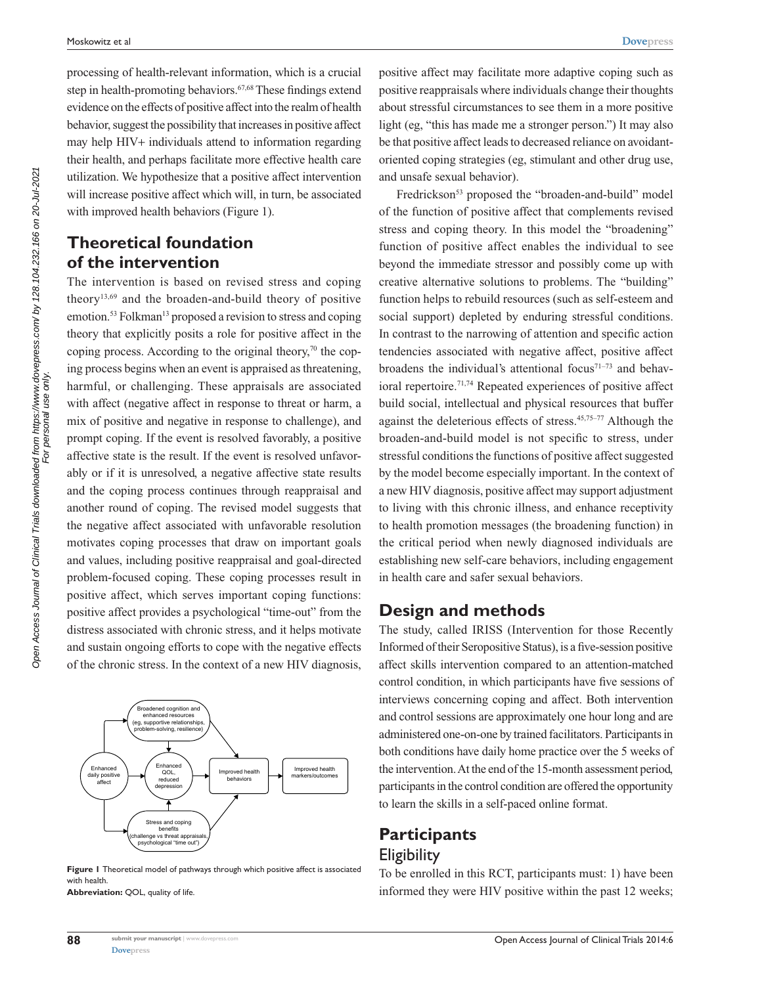processing of health-relevant information, which is a crucial step in health-promoting behaviors.<sup>67,68</sup> These findings extend evidence on the effects of positive affect into the realm of health behavior, suggest the possibility that increases in positive affect may help HIV+ individuals attend to information regarding their health, and perhaps facilitate more effective health care utilization. We hypothesize that a positive affect intervention will increase positive affect which will, in turn, be associated with improved health behaviors (Figure 1).

# **Theoretical foundation of the intervention**

The intervention is based on revised stress and coping theory13,69 and the broaden-and-build theory of positive emotion.<sup>53</sup> Folkman<sup>13</sup> proposed a revision to stress and coping theory that explicitly posits a role for positive affect in the coping process. According to the original theory, $70$  the coping process begins when an event is appraised as threatening, harmful, or challenging. These appraisals are associated with affect (negative affect in response to threat or harm, a mix of positive and negative in response to challenge), and prompt coping. If the event is resolved favorably, a positive affective state is the result. If the event is resolved unfavorably or if it is unresolved, a negative affective state results and the coping process continues through reappraisal and another round of coping. The revised model suggests that the negative affect associated with unfavorable resolution motivates coping processes that draw on important goals and values, including positive reappraisal and goal-directed problem-focused coping. These coping processes result in positive affect, which serves important coping functions: positive affect provides a psychological "time-out" from the distress associated with chronic stress, and it helps motivate and sustain ongoing efforts to cope with the negative effects of the chronic stress. In the context of a new HIV diagnosis,



**Figure 1** Theoretical model of pathways through which positive affect is associated with health. **Abbreviation:** QOL, quality of life.

positive affect may facilitate more adaptive coping such as positive reappraisals where individuals change their thoughts about stressful circumstances to see them in a more positive light (eg, "this has made me a stronger person.") It may also be that positive affect leads to decreased reliance on avoidantoriented coping strategies (eg, stimulant and other drug use, and unsafe sexual behavior).

Fredrickson<sup>53</sup> proposed the "broaden-and-build" model of the function of positive affect that complements revised stress and coping theory. In this model the "broadening" function of positive affect enables the individual to see beyond the immediate stressor and possibly come up with creative alternative solutions to problems. The "building" function helps to rebuild resources (such as self-esteem and social support) depleted by enduring stressful conditions. In contrast to the narrowing of attention and specific action tendencies associated with negative affect, positive affect broadens the individual's attentional focus $71-73$  and behavioral repertoire.71,74 Repeated experiences of positive affect build social, intellectual and physical resources that buffer against the deleterious effects of stress.45,75–77 Although the broaden-and-build model is not specific to stress, under stressful conditions the functions of positive affect suggested by the model become especially important. In the context of a new HIV diagnosis, positive affect may support adjustment to living with this chronic illness, and enhance receptivity to health promotion messages (the broadening function) in the critical period when newly diagnosed individuals are establishing new self-care behaviors, including engagement in health care and safer sexual behaviors.

## **Design and methods**

The study, called IRISS (Intervention for those Recently Informed of their Seropositive Status), is a five-session positive affect skills intervention compared to an attention-matched control condition, in which participants have five sessions of interviews concerning coping and affect. Both intervention and control sessions are approximately one hour long and are administered one-on-one by trained facilitators. Participants in both conditions have daily home practice over the 5 weeks of the intervention. At the end of the 15-month assessment period, participants in the control condition are offered the opportunity to learn the skills in a self-paced online format.

# **Participants Eligibility**

To be enrolled in this RCT, participants must: 1) have been informed they were HIV positive within the past 12 weeks;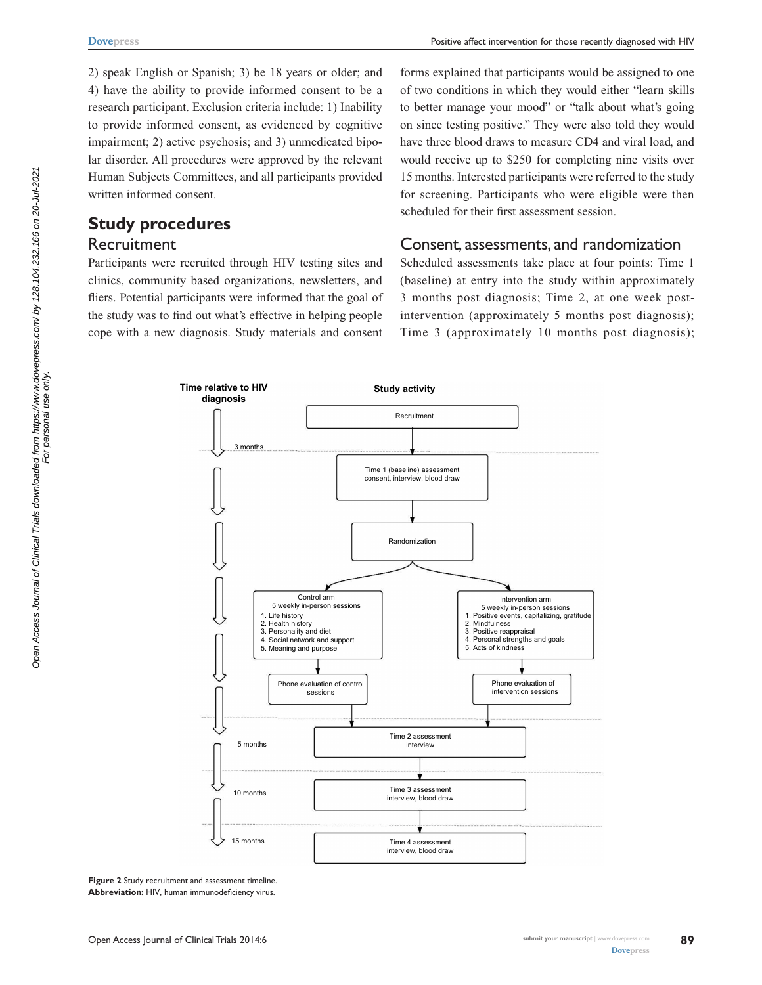2) speak English or Spanish; 3) be 18 years or older; and 4) have the ability to provide informed consent to be a research participant. Exclusion criteria include: 1) Inability to provide informed consent, as evidenced by cognitive impairment; 2) active psychosis; and 3) unmedicated bipolar disorder. All procedures were approved by the relevant Human Subjects Committees, and all participants provided written informed consent.

# **Study procedures**

#### Recruitment

Participants were recruited through HIV testing sites and clinics, community based organizations, newsletters, and fliers. Potential participants were informed that the goal of the study was to find out what's effective in helping people cope with a new diagnosis. Study materials and consent

forms explained that participants would be assigned to one of two conditions in which they would either "learn skills to better manage your mood" or "talk about what's going on since testing positive." They were also told they would have three blood draws to measure CD4 and viral load, and would receive up to \$250 for completing nine visits over 15 months. Interested participants were referred to the study for screening. Participants who were eligible were then scheduled for their first assessment session.

#### Consent, assessments, and randomization

Scheduled assessments take place at four points: Time 1 (baseline) at entry into the study within approximately 3 months post diagnosis; Time 2, at one week postintervention (approximately 5 months post diagnosis); Time 3 (approximately 10 months post diagnosis);



**Figure 2** Study recruitment and assessment timeline. **Abbreviation:** HIV, human immunodeficiency virus.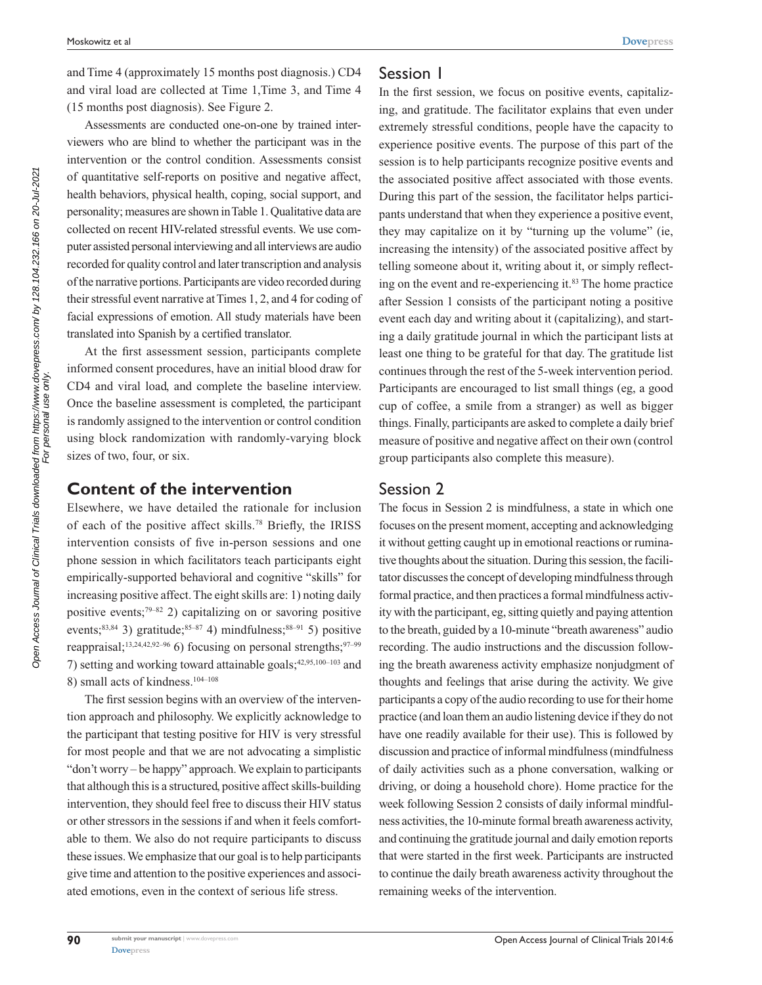and Time 4 (approximately 15 months post diagnosis.) CD4 and viral load are collected at Time 1,Time 3, and Time 4 (15 months post diagnosis). See Figure 2.

Assessments are conducted one-on-one by trained interviewers who are blind to whether the participant was in the intervention or the control condition. Assessments consist of quantitative self-reports on positive and negative affect, health behaviors, physical health, coping, social support, and personality; measures are shown in Table 1. Qualitative data are collected on recent HIV-related stressful events. We use computer assisted personal interviewing and all interviews are audio recorded for quality control and later transcription and analysis of the narrative portions. Participants are video recorded during their stressful event narrative at Times 1, 2, and 4 for coding of facial expressions of emotion. All study materials have been translated into Spanish by a certified translator.

At the first assessment session, participants complete informed consent procedures, have an initial blood draw for CD4 and viral load, and complete the baseline interview. Once the baseline assessment is completed, the participant is randomly assigned to the intervention or control condition using block randomization with randomly-varying block sizes of two, four, or six.

#### **Content of the intervention**

Elsewhere, we have detailed the rationale for inclusion of each of the positive affect skills.78 Briefly, the IRISS intervention consists of five in-person sessions and one phone session in which facilitators teach participants eight empirically-supported behavioral and cognitive "skills" for increasing positive affect. The eight skills are: 1) noting daily positive events; $79-82$  2) capitalizing on or savoring positive events;<sup>83,84</sup> 3) gratitude;<sup>85-87</sup> 4) mindfulness;<sup>88-91</sup> 5) positive reappraisal;<sup>13,24,42,92–96</sup> 6) focusing on personal strengths;<sup>97–99</sup> 7) setting and working toward attainable goals;42,95,100–103 and 8) small acts of kindness.<sup>104-108</sup>

The first session begins with an overview of the intervention approach and philosophy. We explicitly acknowledge to the participant that testing positive for HIV is very stressful for most people and that we are not advocating a simplistic "don't worry – be happy" approach. We explain to participants that although this is a structured, positive affect skills-building intervention, they should feel free to discuss their HIV status or other stressors in the sessions if and when it feels comfortable to them. We also do not require participants to discuss these issues. We emphasize that our goal is to help participants give time and attention to the positive experiences and associated emotions, even in the context of serious life stress.

#### Session 1

In the first session, we focus on positive events, capitalizing, and gratitude. The facilitator explains that even under extremely stressful conditions, people have the capacity to experience positive events. The purpose of this part of the session is to help participants recognize positive events and the associated positive affect associated with those events. During this part of the session, the facilitator helps participants understand that when they experience a positive event, they may capitalize on it by "turning up the volume" (ie, increasing the intensity) of the associated positive affect by telling someone about it, writing about it, or simply reflecting on the event and re-experiencing it.83 The home practice after Session 1 consists of the participant noting a positive event each day and writing about it (capitalizing), and starting a daily gratitude journal in which the participant lists at least one thing to be grateful for that day. The gratitude list continues through the rest of the 5-week intervention period. Participants are encouraged to list small things (eg, a good cup of coffee, a smile from a stranger) as well as bigger things. Finally, participants are asked to complete a daily brief measure of positive and negative affect on their own (control group participants also complete this measure).

## Session 2

The focus in Session 2 is mindfulness, a state in which one focuses on the present moment, accepting and acknowledging it without getting caught up in emotional reactions or ruminative thoughts about the situation. During this session, the facilitator discusses the concept of developing mindfulness through formal practice, and then practices a formal mindfulness activity with the participant, eg, sitting quietly and paying attention to the breath, guided by a 10-minute "breath awareness" audio recording. The audio instructions and the discussion following the breath awareness activity emphasize nonjudgment of thoughts and feelings that arise during the activity. We give participants a copy of the audio recording to use for their home practice (and loan them an audio listening device if they do not have one readily available for their use). This is followed by discussion and practice of informal mindfulness (mindfulness of daily activities such as a phone conversation, walking or driving, or doing a household chore). Home practice for the week following Session 2 consists of daily informal mindfulness activities, the 10-minute formal breath awareness activity, and continuing the gratitude journal and daily emotion reports that were started in the first week. Participants are instructed to continue the daily breath awareness activity throughout the remaining weeks of the intervention.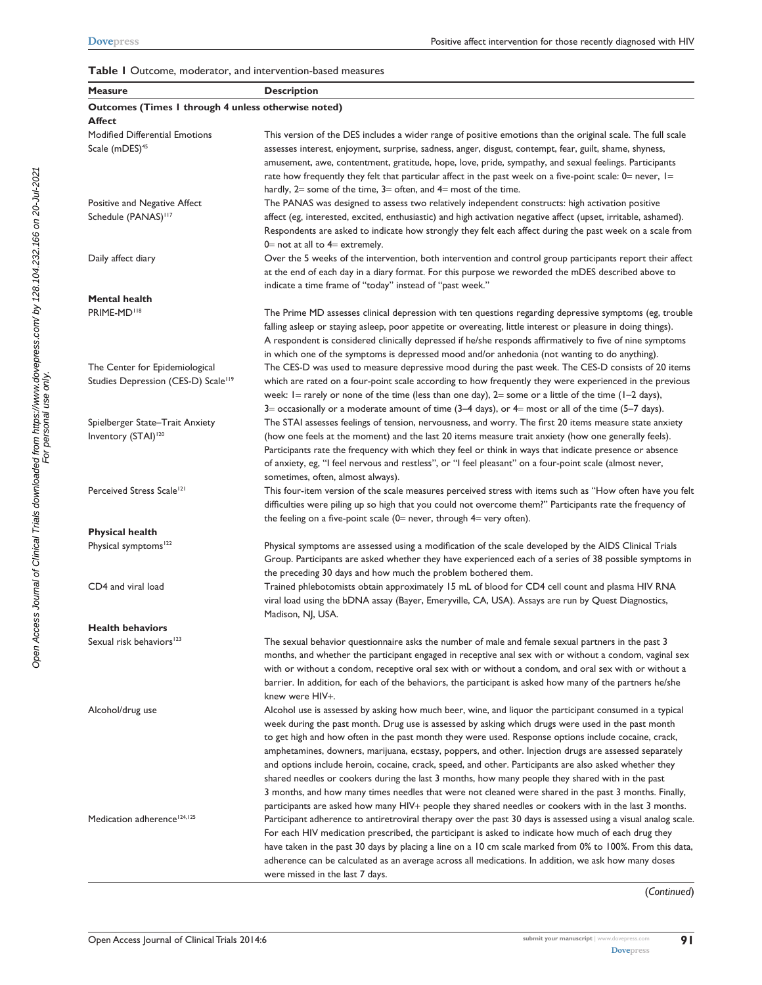#### **Table 1** Outcome, moderator, and intervention-based measures

| <b>Measure</b>                                                                    | <b>Description</b>                                                                                                                                                                                                                                                                                                                                                                                                                                                                                                                                                                                                                                                                              |
|-----------------------------------------------------------------------------------|-------------------------------------------------------------------------------------------------------------------------------------------------------------------------------------------------------------------------------------------------------------------------------------------------------------------------------------------------------------------------------------------------------------------------------------------------------------------------------------------------------------------------------------------------------------------------------------------------------------------------------------------------------------------------------------------------|
| Outcomes (Times I through 4 unless otherwise noted)<br><b>Affect</b>              |                                                                                                                                                                                                                                                                                                                                                                                                                                                                                                                                                                                                                                                                                                 |
| Modified Differential Emotions<br>Scale (mDES) <sup>45</sup>                      | This version of the DES includes a wider range of positive emotions than the original scale. The full scale<br>assesses interest, enjoyment, surprise, sadness, anger, disgust, contempt, fear, guilt, shame, shyness,<br>amusement, awe, contentment, gratitude, hope, love, pride, sympathy, and sexual feelings. Participants<br>rate how frequently they felt that particular affect in the past week on a five-point scale: $0=$ never, $I=$<br>hardly, $2=$ some of the time, $3=$ often, and $4=$ most of the time.                                                                                                                                                                      |
| Positive and Negative Affect<br>Schedule (PANAS) <sup>117</sup>                   | The PANAS was designed to assess two relatively independent constructs: high activation positive<br>affect (eg, interested, excited, enthusiastic) and high activation negative affect (upset, irritable, ashamed).<br>Respondents are asked to indicate how strongly they felt each affect during the past week on a scale from<br>$0$ = not at all to $4$ = extremely.                                                                                                                                                                                                                                                                                                                        |
| Daily affect diary                                                                | Over the 5 weeks of the intervention, both intervention and control group participants report their affect<br>at the end of each day in a diary format. For this purpose we reworded the mDES described above to<br>indicate a time frame of "today" instead of "past week."                                                                                                                                                                                                                                                                                                                                                                                                                    |
| <b>Mental health</b><br>PRIME-MD <sup>118</sup>                                   | The Prime MD assesses clinical depression with ten questions regarding depressive symptoms (eg, trouble<br>falling asleep or staying asleep, poor appetite or overeating, little interest or pleasure in doing things).<br>A respondent is considered clinically depressed if he/she responds affirmatively to five of nine symptoms<br>in which one of the symptoms is depressed mood and/or anhedonia (not wanting to do anything).                                                                                                                                                                                                                                                           |
| The Center for Epidemiological<br>Studies Depression (CES-D) Scale <sup>119</sup> | The CES-D was used to measure depressive mood during the past week. The CES-D consists of 20 items<br>which are rated on a four-point scale according to how frequently they were experienced in the previous<br>week: $I = \text{rarely or none of the time (less than one day), } 2 = \text{some or a little of the time (1–2 days), }$<br>$3$ = occasionally or a moderate amount of time ( $3-4$ days), or $4$ = most or all of the time ( $5-7$ days).                                                                                                                                                                                                                                     |
| Spielberger State-Trait Anxiety<br>Inventory (STAI) <sup>120</sup>                | The STAI assesses feelings of tension, nervousness, and worry. The first 20 items measure state anxiety<br>(how one feels at the moment) and the last 20 items measure trait anxiety (how one generally feels).<br>Participants rate the frequency with which they feel or think in ways that indicate presence or absence<br>of anxiety, eg, "I feel nervous and restless", or "I feel pleasant" on a four-point scale (almost never,<br>sometimes, often, almost always).                                                                                                                                                                                                                     |
| Perceived Stress Scale <sup>121</sup>                                             | This four-item version of the scale measures perceived stress with items such as "How often have you felt<br>difficulties were piling up so high that you could not overcome them?" Participants rate the frequency of<br>the feeling on a five-point scale ( $0=$ never, through $4=$ very often).                                                                                                                                                                                                                                                                                                                                                                                             |
| <b>Physical health</b>                                                            |                                                                                                                                                                                                                                                                                                                                                                                                                                                                                                                                                                                                                                                                                                 |
| Physical symptoms <sup>122</sup>                                                  | Physical symptoms are assessed using a modification of the scale developed by the AIDS Clinical Trials<br>Group. Participants are asked whether they have experienced each of a series of 38 possible symptoms in<br>the preceding 30 days and how much the problem bothered them.                                                                                                                                                                                                                                                                                                                                                                                                              |
| CD4 and viral load                                                                | Trained phlebotomists obtain approximately 15 mL of blood for CD4 cell count and plasma HIV RNA<br>viral load using the bDNA assay (Bayer, Emeryville, CA, USA). Assays are run by Quest Diagnostics,<br>Madison, NJ, USA.                                                                                                                                                                                                                                                                                                                                                                                                                                                                      |
| <b>Health behaviors</b>                                                           |                                                                                                                                                                                                                                                                                                                                                                                                                                                                                                                                                                                                                                                                                                 |
| Sexual risk behaviors <sup>123</sup>                                              | The sexual behavior questionnaire asks the number of male and female sexual partners in the past 3<br>months, and whether the participant engaged in receptive anal sex with or without a condom, vaginal sex<br>with or without a condom, receptive oral sex with or without a condom, and oral sex with or without a<br>barrier. In addition, for each of the behaviors, the participant is asked how many of the partners he/she<br>knew were HIV+.                                                                                                                                                                                                                                          |
| Alcohol/drug use                                                                  | Alcohol use is assessed by asking how much beer, wine, and liquor the participant consumed in a typical<br>week during the past month. Drug use is assessed by asking which drugs were used in the past month<br>to get high and how often in the past month they were used. Response options include cocaine, crack,<br>amphetamines, downers, marijuana, ecstasy, poppers, and other. Injection drugs are assessed separately<br>and options include heroin, cocaine, crack, speed, and other. Participants are also asked whether they<br>shared needles or cookers during the last 3 months, how many people they shared with in the past                                                   |
| Medication adherence <sup>124,125</sup>                                           | 3 months, and how many times needles that were not cleaned were shared in the past 3 months. Finally,<br>participants are asked how many HIV+ people they shared needles or cookers with in the last 3 months.<br>Participant adherence to antiretroviral therapy over the past 30 days is assessed using a visual analog scale.<br>For each HIV medication prescribed, the participant is asked to indicate how much of each drug they<br>have taken in the past 30 days by placing a line on a 10 cm scale marked from 0% to 100%. From this data,<br>adherence can be calculated as an average across all medications. In addition, we ask how many doses<br>were missed in the last 7 days. |

(*Continued*)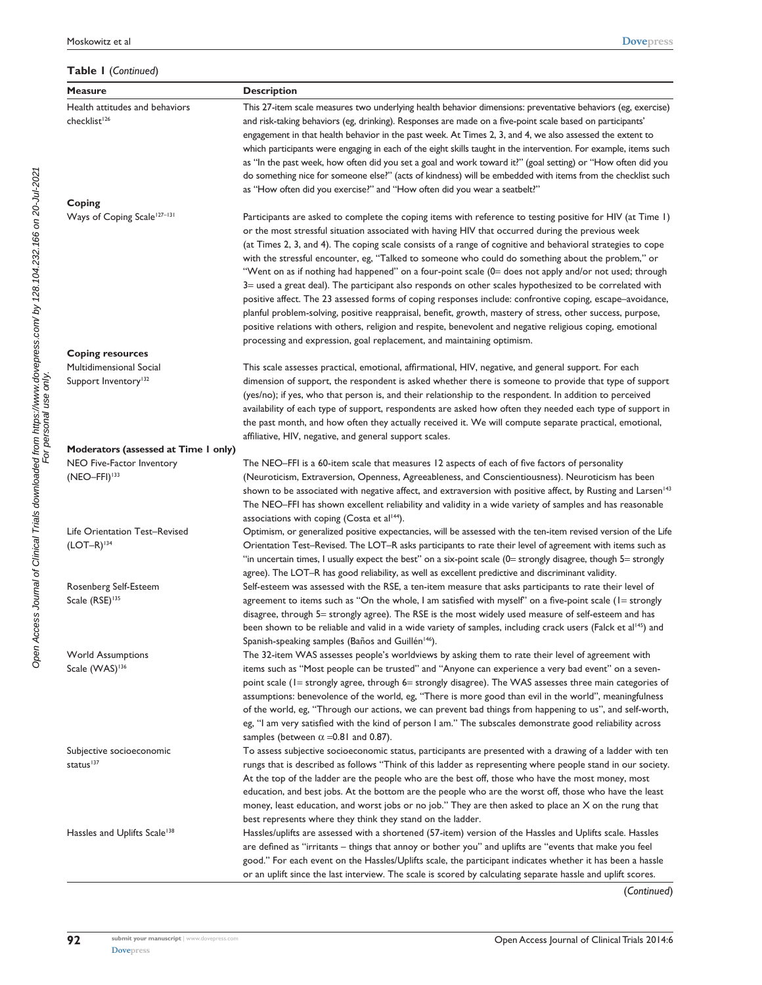#### **Table 1** (*Continued*)

| $\frac{1}{2}$                                               |                                                                                                                                                                                                                                                                                                                                                                                                                                                                                                                                                                                                                                                                                                                                                                        |
|-------------------------------------------------------------|------------------------------------------------------------------------------------------------------------------------------------------------------------------------------------------------------------------------------------------------------------------------------------------------------------------------------------------------------------------------------------------------------------------------------------------------------------------------------------------------------------------------------------------------------------------------------------------------------------------------------------------------------------------------------------------------------------------------------------------------------------------------|
| <b>Measure</b>                                              | <b>Description</b>                                                                                                                                                                                                                                                                                                                                                                                                                                                                                                                                                                                                                                                                                                                                                     |
| Health attitudes and behaviors<br>checklist <sup>126</sup>  | This 27-item scale measures two underlying health behavior dimensions: preventative behaviors (eg, exercise)<br>and risk-taking behaviors (eg, drinking). Responses are made on a five-point scale based on participants'<br>engagement in that health behavior in the past week. At Times 2, 3, and 4, we also assessed the extent to<br>which participants were engaging in each of the eight skills taught in the intervention. For example, items such<br>as "In the past week, how often did you set a goal and work toward it?" (goal setting) or "How often did you<br>do something nice for someone else?" (acts of kindness) will be embedded with items from the checklist such<br>as "How often did you exercise?" and "How often did you wear a seatbelt?" |
| Coping                                                      |                                                                                                                                                                                                                                                                                                                                                                                                                                                                                                                                                                                                                                                                                                                                                                        |
| Ways of Coping Scale <sup>127-131</sup>                     | Participants are asked to complete the coping items with reference to testing positive for HIV (at Time 1)<br>or the most stressful situation associated with having HIV that occurred during the previous week<br>(at Times 2, 3, and 4). The coping scale consists of a range of cognitive and behavioral strategies to cope<br>with the stressful encounter, eg, "Talked to someone who could do something about the problem," or<br>"Went on as if nothing had happened" on a four-point scale (0= does not apply and/or not used; through<br>3= used a great deal). The participant also responds on other scales hypothesized to be correlated with<br>positive affect. The 23 assessed forms of coping responses include: confrontive coping, escape-avoidance, |
|                                                             | planful problem-solving, positive reappraisal, benefit, growth, mastery of stress, other success, purpose,<br>positive relations with others, religion and respite, benevolent and negative religious coping, emotional                                                                                                                                                                                                                                                                                                                                                                                                                                                                                                                                                |
|                                                             | processing and expression, goal replacement, and maintaining optimism.                                                                                                                                                                                                                                                                                                                                                                                                                                                                                                                                                                                                                                                                                                 |
| <b>Coping resources</b>                                     |                                                                                                                                                                                                                                                                                                                                                                                                                                                                                                                                                                                                                                                                                                                                                                        |
| Multidimensional Social<br>Support Inventory <sup>132</sup> | This scale assesses practical, emotional, affirmational, HIV, negative, and general support. For each<br>dimension of support, the respondent is asked whether there is someone to provide that type of support<br>(yes/no); if yes, who that person is, and their relationship to the respondent. In addition to perceived<br>availability of each type of support, respondents are asked how often they needed each type of support in<br>the past month, and how often they actually received it. We will compute separate practical, emotional,<br>affiliative, HIV, negative, and general support scales.                                                                                                                                                         |
| Moderators (assessed at Time I only)                        |                                                                                                                                                                                                                                                                                                                                                                                                                                                                                                                                                                                                                                                                                                                                                                        |
| NEO Five-Factor Inventory<br>$(NEO–FFI)^{133}$              | The NEO-FFI is a 60-item scale that measures 12 aspects of each of five factors of personality<br>(Neuroticism, Extraversion, Openness, Agreeableness, and Conscientiousness). Neuroticism has been<br>shown to be associated with negative affect, and extraversion with positive affect, by Rusting and Larsen <sup>143</sup><br>The NEO-FFI has shown excellent reliability and validity in a wide variety of samples and has reasonable<br>associations with coping (Costa et al <sup>144</sup> ).                                                                                                                                                                                                                                                                 |
| Life Orientation Test-Revised<br>$(LOT-R)^{134}$            | Optimism, or generalized positive expectancies, will be assessed with the ten-item revised version of the Life<br>Orientation Test-Revised. The LOT-R asks participants to rate their level of agreement with items such as<br>"in uncertain times, I usually expect the best" on a six-point scale (0= strongly disagree, though 5= strongly<br>agree). The LOT-R has good reliability, as well as excellent predictive and discriminant validity.                                                                                                                                                                                                                                                                                                                    |
| Rosenberg Self-Esteem<br>Scale (RSE) <sup>135</sup>         | Self-esteem was assessed with the RSE, a ten-item measure that asks participants to rate their level of<br>agreement to items such as "On the whole, I am satisfied with myself" on a five-point scale ( $I =$ strongly<br>disagree, through 5= strongly agree). The RSE is the most widely used measure of self-esteem and has<br>been shown to be reliable and valid in a wide variety of samples, including crack users (Falck et al <sup>145</sup> ) and                                                                                                                                                                                                                                                                                                           |
| <b>World Assumptions</b><br>Scale (WAS) <sup>136</sup>      | Spanish-speaking samples (Baños and Guillén <sup>146</sup> ).<br>The 32-item WAS assesses people's worldviews by asking them to rate their level of agreement with<br>items such as "Most people can be trusted" and "Anyone can experience a very bad event" on a seven-<br>point scale (I= strongly agree, through 6= strongly disagree). The WAS assesses three main categories of<br>assumptions: benevolence of the world, eg, "There is more good than evil in the world", meaningfulness<br>of the world, eg, "Through our actions, we can prevent bad things from happening to us", and self-worth,                                                                                                                                                            |
| Subjective socioeconomic<br>status <sup>137</sup>           | eg, "I am very satisfied with the kind of person I am." The subscales demonstrate good reliability across<br>samples (between $\alpha$ =0.81 and 0.87).<br>To assess subjective socioeconomic status, participants are presented with a drawing of a ladder with ten<br>rungs that is described as follows "Think of this ladder as representing where people stand in our society.<br>At the top of the ladder are the people who are the best off, those who have the most money, most<br>education, and best jobs. At the bottom are the people who are the worst off, those who have the least                                                                                                                                                                     |
| Hassles and Uplifts Scale <sup>138</sup>                    | money, least education, and worst jobs or no job." They are then asked to place an $X$ on the rung that<br>best represents where they think they stand on the ladder.<br>Hassles/uplifts are assessed with a shortened (57-item) version of the Hassles and Uplifts scale. Hassles<br>are defined as "irritants - things that annoy or bother you" and uplifts are "events that make you feel<br>good." For each event on the Hassles/Uplifts scale, the participant indicates whether it has been a hassle<br>or an uplift since the last interview. The scale is scored by calculating separate hassle and uplift scores.                                                                                                                                            |

(*Continued*)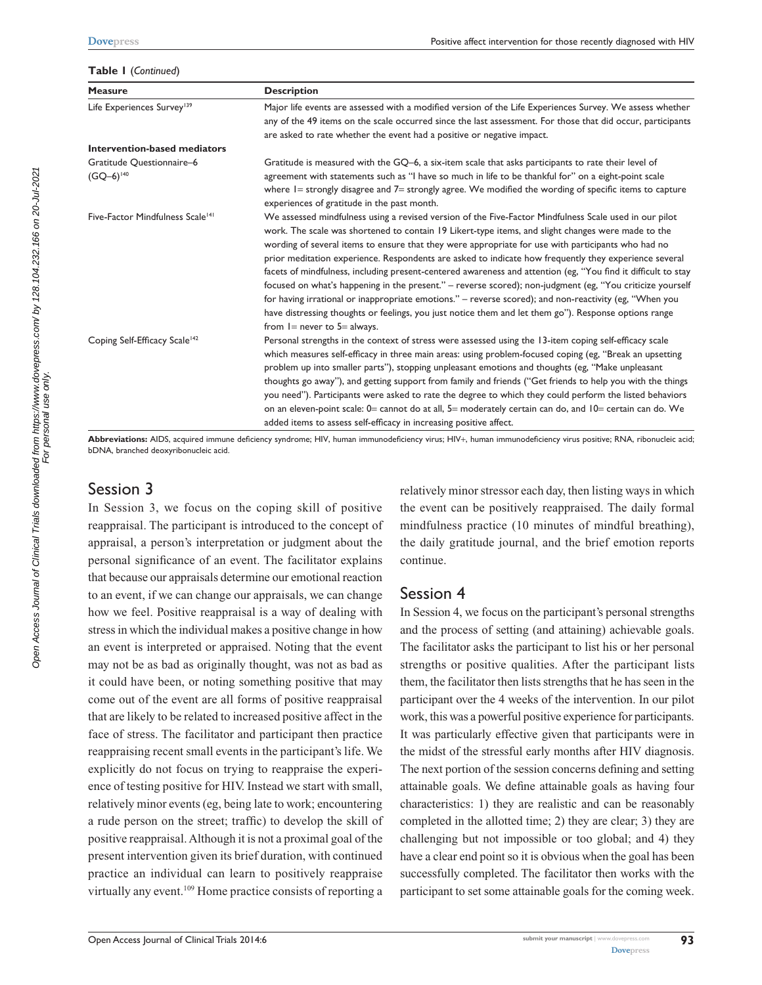#### **Table 1** (*Continued*)

| <b>Measure</b>                               | <b>Description</b>                                                                                                                                          |
|----------------------------------------------|-------------------------------------------------------------------------------------------------------------------------------------------------------------|
|                                              |                                                                                                                                                             |
| Life Experiences Survey <sup>139</sup>       | Major life events are assessed with a modified version of the Life Experiences Survey. We assess whether                                                    |
|                                              | any of the 49 items on the scale occurred since the last assessment. For those that did occur, participants                                                 |
|                                              | are asked to rate whether the event had a positive or negative impact.                                                                                      |
| Intervention-based mediators                 |                                                                                                                                                             |
| Gratitude Questionnaire-6                    | Gratitude is measured with the GQ-6, a six-item scale that asks participants to rate their level of                                                         |
| $(GQ-6)^{140}$                               | agreement with statements such as "I have so much in life to be thankful for" on a eight-point scale                                                        |
|                                              | where $I$ = strongly disagree and $I$ = strongly agree. We modified the wording of specific items to capture<br>experiences of gratitude in the past month. |
| Five-Factor Mindfulness Scale <sup>141</sup> | We assessed mindfulness using a revised version of the Five-Factor Mindfulness Scale used in our pilot                                                      |
|                                              | work. The scale was shortened to contain 19 Likert-type items, and slight changes were made to the                                                          |
|                                              | wording of several items to ensure that they were appropriate for use with participants who had no                                                          |
|                                              | prior meditation experience. Respondents are asked to indicate how frequently they experience several                                                       |
|                                              | facets of mindfulness, including present-centered awareness and attention (eg, "You find it difficult to stay                                               |
|                                              | focused on what's happening in the present." - reverse scored); non-judgment (eg, "You criticize yourself                                                   |
|                                              | for having irrational or inappropriate emotions." – reverse scored); and non-reactivity (eg, "When you                                                      |
|                                              | have distressing thoughts or feelings, you just notice them and let them go"). Response options range                                                       |
|                                              | from $l =$ never to $5 =$ always.                                                                                                                           |
| Coping Self-Efficacy Scale <sup>142</sup>    | Personal strengths in the context of stress were assessed using the 13-item coping self-efficacy scale                                                      |
|                                              | which measures self-efficacy in three main areas: using problem-focused coping (eg, "Break an upsetting                                                     |
|                                              | problem up into smaller parts"), stopping unpleasant emotions and thoughts (eg, "Make unpleasant                                                            |
|                                              | thoughts go away"), and getting support from family and friends ("Get friends to help you with the things                                                   |
|                                              | you need"). Participants were asked to rate the degree to which they could perform the listed behaviors                                                     |
|                                              | on an eleven-point scale: 0= cannot do at all, 5= moderately certain can do, and 10= certain can do. We                                                     |
|                                              | added items to assess self-efficacy in increasing positive affect.                                                                                          |

Abbreviations: AIDS, acquired immune deficiency syndrome; HIV, human immunodeficiency virus; HIV+, human immunodeficiency virus positive; RNA, ribonucleic acid; bDNA, branched deoxyribonucleic acid.

#### Session 3

In Session 3, we focus on the coping skill of positive reappraisal. The participant is introduced to the concept of appraisal, a person's interpretation or judgment about the personal significance of an event. The facilitator explains that because our appraisals determine our emotional reaction to an event, if we can change our appraisals, we can change how we feel. Positive reappraisal is a way of dealing with stress in which the individual makes a positive change in how an event is interpreted or appraised. Noting that the event may not be as bad as originally thought, was not as bad as it could have been, or noting something positive that may come out of the event are all forms of positive reappraisal that are likely to be related to increased positive affect in the face of stress. The facilitator and participant then practice reappraising recent small events in the participant's life. We explicitly do not focus on trying to reappraise the experience of testing positive for HIV. Instead we start with small, relatively minor events (eg, being late to work; encountering a rude person on the street; traffic) to develop the skill of positive reappraisal. Although it is not a proximal goal of the present intervention given its brief duration, with continued practice an individual can learn to positively reappraise virtually any event.109 Home practice consists of reporting a

relatively minor stressor each day, then listing ways in which the event can be positively reappraised. The daily formal mindfulness practice (10 minutes of mindful breathing), the daily gratitude journal, and the brief emotion reports continue.

## Session 4

In Session 4, we focus on the participant's personal strengths and the process of setting (and attaining) achievable goals. The facilitator asks the participant to list his or her personal strengths or positive qualities. After the participant lists them, the facilitator then lists strengths that he has seen in the participant over the 4 weeks of the intervention. In our pilot work, this was a powerful positive experience for participants. It was particularly effective given that participants were in the midst of the stressful early months after HIV diagnosis. The next portion of the session concerns defining and setting attainable goals. We define attainable goals as having four characteristics: 1) they are realistic and can be reasonably completed in the allotted time; 2) they are clear; 3) they are challenging but not impossible or too global; and 4) they have a clear end point so it is obvious when the goal has been successfully completed. The facilitator then works with the participant to set some attainable goals for the coming week.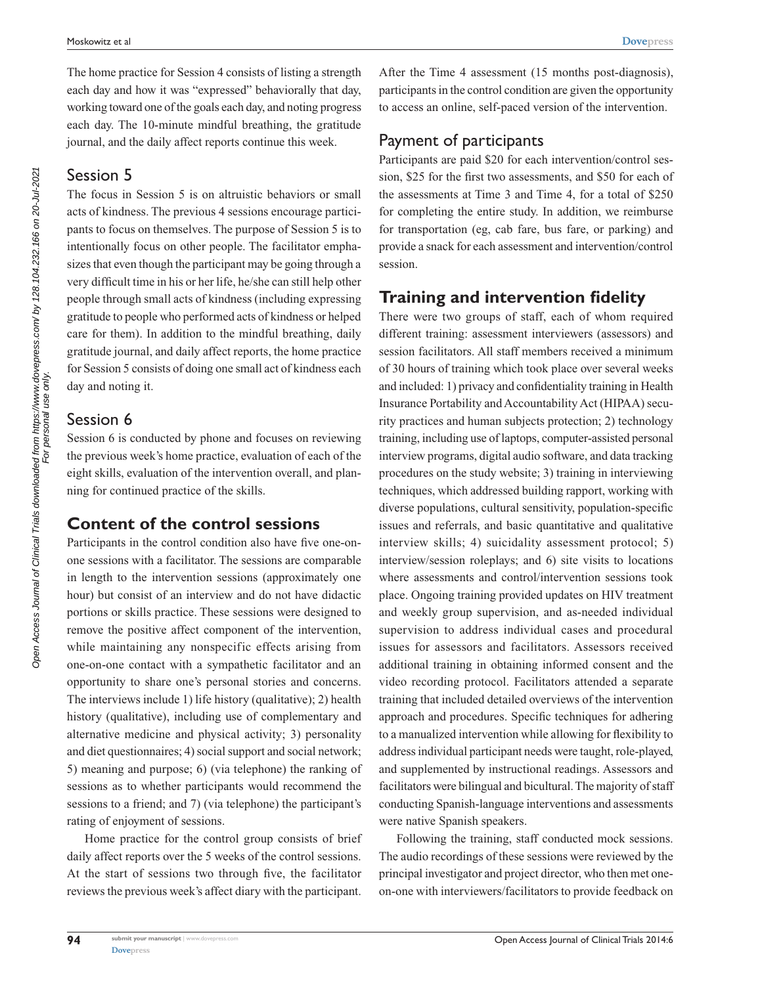The home practice for Session 4 consists of listing a strength each day and how it was "expressed" behaviorally that day, working toward one of the goals each day, and noting progress each day. The 10-minute mindful breathing, the gratitude journal, and the daily affect reports continue this week.

## Session 5

The focus in Session 5 is on altruistic behaviors or small acts of kindness. The previous 4 sessions encourage participants to focus on themselves. The purpose of Session 5 is to intentionally focus on other people. The facilitator emphasizes that even though the participant may be going through a very difficult time in his or her life, he/she can still help other people through small acts of kindness (including expressing gratitude to people who performed acts of kindness or helped care for them). In addition to the mindful breathing, daily gratitude journal, and daily affect reports, the home practice for Session 5 consists of doing one small act of kindness each day and noting it.

## Session 6

Session 6 is conducted by phone and focuses on reviewing the previous week's home practice, evaluation of each of the eight skills, evaluation of the intervention overall, and planning for continued practice of the skills.

## **Content of the control sessions**

Participants in the control condition also have five one-onone sessions with a facilitator. The sessions are comparable in length to the intervention sessions (approximately one hour) but consist of an interview and do not have didactic portions or skills practice. These sessions were designed to remove the positive affect component of the intervention, while maintaining any nonspecific effects arising from one-on-one contact with a sympathetic facilitator and an opportunity to share one's personal stories and concerns. The interviews include 1) life history (qualitative); 2) health history (qualitative), including use of complementary and alternative medicine and physical activity; 3) personality and diet questionnaires; 4) social support and social network; 5) meaning and purpose; 6) (via telephone) the ranking of sessions as to whether participants would recommend the sessions to a friend; and 7) (via telephone) the participant's rating of enjoyment of sessions.

Home practice for the control group consists of brief daily affect reports over the 5 weeks of the control sessions. At the start of sessions two through five, the facilitator reviews the previous week's affect diary with the participant.

After the Time 4 assessment (15 months post-diagnosis), participants in the control condition are given the opportunity to access an online, self-paced version of the intervention.

## Payment of participants

Participants are paid \$20 for each intervention/control session, \$25 for the first two assessments, and \$50 for each of the assessments at Time 3 and Time 4, for a total of \$250 for completing the entire study. In addition, we reimburse for transportation (eg, cab fare, bus fare, or parking) and provide a snack for each assessment and intervention/control session.

# **Training and intervention fidelity**

There were two groups of staff, each of whom required different training: assessment interviewers (assessors) and session facilitators. All staff members received a minimum of 30 hours of training which took place over several weeks and included: 1) privacy and confidentiality training in Health Insurance Portability and Accountability Act (HIPAA) security practices and human subjects protection; 2) technology training, including use of laptops, computer-assisted personal interview programs, digital audio software, and data tracking procedures on the study website; 3) training in interviewing techniques, which addressed building rapport, working with diverse populations, cultural sensitivity, population-specific issues and referrals, and basic quantitative and qualitative interview skills; 4) suicidality assessment protocol; 5) interview/session roleplays; and 6) site visits to locations where assessments and control/intervention sessions took place. Ongoing training provided updates on HIV treatment and weekly group supervision, and as-needed individual supervision to address individual cases and procedural issues for assessors and facilitators. Assessors received additional training in obtaining informed consent and the video recording protocol. Facilitators attended a separate training that included detailed overviews of the intervention approach and procedures. Specific techniques for adhering to a manualized intervention while allowing for flexibility to address individual participant needs were taught, role-played, and supplemented by instructional readings. Assessors and facilitators were bilingual and bicultural. The majority of staff conducting Spanish-language interventions and assessments were native Spanish speakers.

Following the training, staff conducted mock sessions. The audio recordings of these sessions were reviewed by the principal investigator and project director, who then met oneon-one with interviewers/facilitators to provide feedback on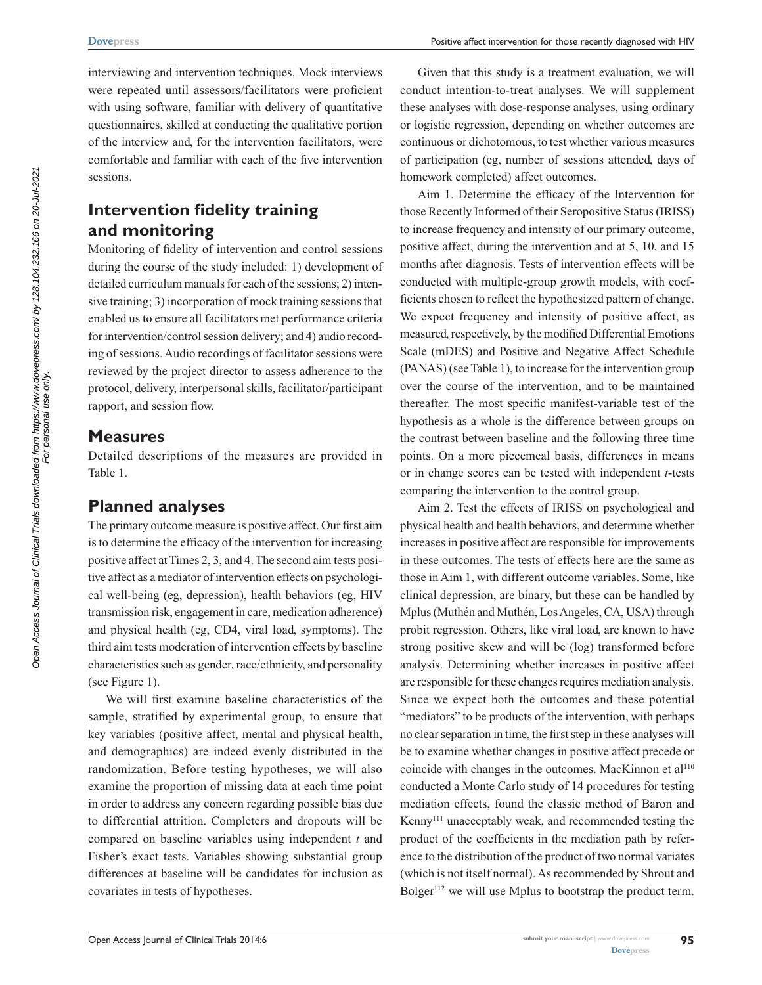interviewing and intervention techniques. Mock interviews were repeated until assessors/facilitators were proficient with using software, familiar with delivery of quantitative questionnaires, skilled at conducting the qualitative portion of the interview and, for the intervention facilitators, were comfortable and familiar with each of the five intervention sessions.

# **Intervention fidelity training and monitoring**

Monitoring of fidelity of intervention and control sessions during the course of the study included: 1) development of detailed curriculum manuals for each of the sessions; 2) intensive training; 3) incorporation of mock training sessions that enabled us to ensure all facilitators met performance criteria for intervention/control session delivery; and 4) audio recording of sessions. Audio recordings of facilitator sessions were reviewed by the project director to assess adherence to the protocol, delivery, interpersonal skills, facilitator/participant rapport, and session flow.

## **Measures**

Detailed descriptions of the measures are provided in Table 1.

## **Planned analyses**

The primary outcome measure is positive affect. Our first aim is to determine the efficacy of the intervention for increasing positive affect at Times 2, 3, and 4. The second aim tests positive affect as a mediator of intervention effects on psychological well-being (eg, depression), health behaviors (eg, HIV transmission risk, engagement in care, medication adherence) and physical health (eg, CD4, viral load, symptoms). The third aim tests moderation of intervention effects by baseline characteristics such as gender, race/ethnicity, and personality (see Figure 1).

We will first examine baseline characteristics of the sample, stratified by experimental group, to ensure that key variables (positive affect, mental and physical health, and demographics) are indeed evenly distributed in the randomization. Before testing hypotheses, we will also examine the proportion of missing data at each time point in order to address any concern regarding possible bias due to differential attrition. Completers and dropouts will be compared on baseline variables using independent *t* and Fisher's exact tests. Variables showing substantial group differences at baseline will be candidates for inclusion as covariates in tests of hypotheses.

Given that this study is a treatment evaluation, we will conduct intention-to-treat analyses. We will supplement these analyses with dose-response analyses, using ordinary or logistic regression, depending on whether outcomes are continuous or dichotomous, to test whether various measures of participation (eg, number of sessions attended, days of homework completed) affect outcomes.

Aim 1. Determine the efficacy of the Intervention for those Recently Informed of their Seropositive Status (IRISS) to increase frequency and intensity of our primary outcome, positive affect, during the intervention and at 5, 10, and 15 months after diagnosis. Tests of intervention effects will be conducted with multiple-group growth models, with coefficients chosen to reflect the hypothesized pattern of change. We expect frequency and intensity of positive affect, as measured, respectively, by the modified Differential Emotions Scale (mDES) and Positive and Negative Affect Schedule (PANAS) (see Table 1), to increase for the intervention group over the course of the intervention, and to be maintained thereafter. The most specific manifest-variable test of the hypothesis as a whole is the difference between groups on the contrast between baseline and the following three time points. On a more piecemeal basis, differences in means or in change scores can be tested with independent *t*-tests comparing the intervention to the control group.

Aim 2. Test the effects of IRISS on psychological and physical health and health behaviors, and determine whether increases in positive affect are responsible for improvements in these outcomes. The tests of effects here are the same as those in Aim 1, with different outcome variables. Some, like clinical depression, are binary, but these can be handled by Mplus (Muthén and Muthén, Los Angeles, CA, USA) through probit regression. Others, like viral load, are known to have strong positive skew and will be (log) transformed before analysis. Determining whether increases in positive affect are responsible for these changes requires mediation analysis. Since we expect both the outcomes and these potential "mediators" to be products of the intervention, with perhaps no clear separation in time, the first step in these analyses will be to examine whether changes in positive affect precede or coincide with changes in the outcomes. MacKinnon et  $al<sup>110</sup>$ conducted a Monte Carlo study of 14 procedures for testing mediation effects, found the classic method of Baron and Kenny<sup>111</sup> unacceptably weak, and recommended testing the product of the coefficients in the mediation path by reference to the distribution of the product of two normal variates (which is not itself normal). As recommended by Shrout and Bolger<sup>112</sup> we will use Mplus to bootstrap the product term.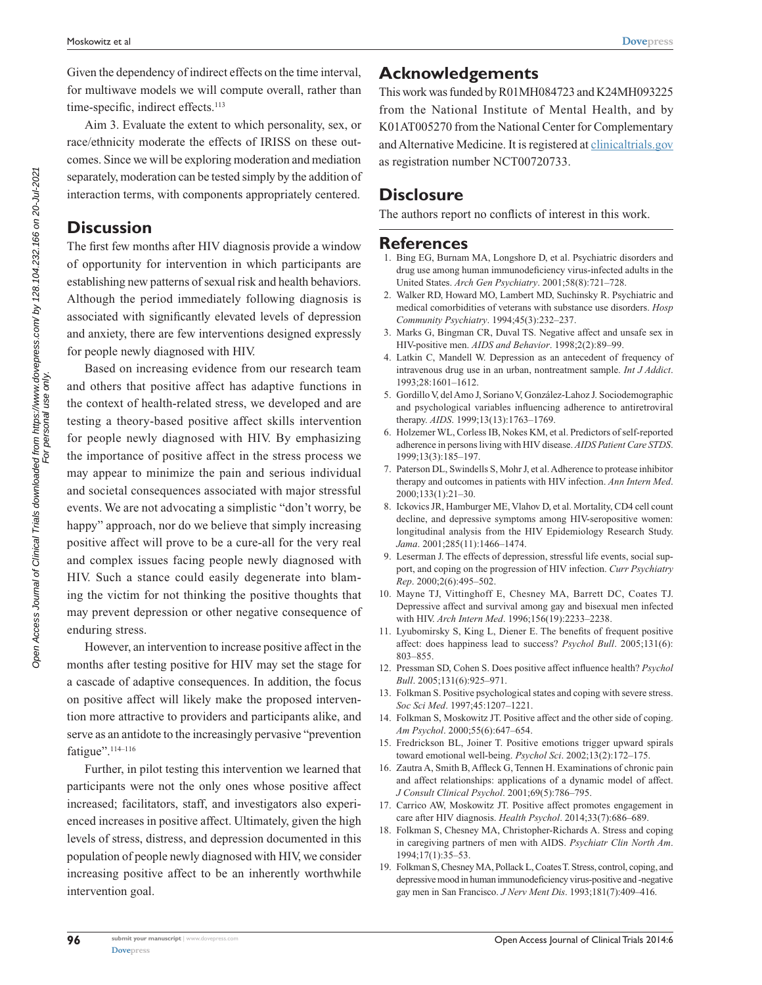Given the dependency of indirect effects on the time interval, for multiwave models we will compute overall, rather than time-specific, indirect effects.<sup>113</sup>

Aim 3. Evaluate the extent to which personality, sex, or race/ethnicity moderate the effects of IRISS on these outcomes. Since we will be exploring moderation and mediation separately, moderation can be tested simply by the addition of interaction terms, with components appropriately centered.

## **Discussion**

The first few months after HIV diagnosis provide a window of opportunity for intervention in which participants are establishing new patterns of sexual risk and health behaviors. Although the period immediately following diagnosis is associated with significantly elevated levels of depression and anxiety, there are few interventions designed expressly for people newly diagnosed with HIV.

Based on increasing evidence from our research team and others that positive affect has adaptive functions in the context of health-related stress, we developed and are testing a theory-based positive affect skills intervention for people newly diagnosed with HIV. By emphasizing the importance of positive affect in the stress process we may appear to minimize the pain and serious individual and societal consequences associated with major stressful events. We are not advocating a simplistic "don't worry, be happy" approach, nor do we believe that simply increasing positive affect will prove to be a cure-all for the very real and complex issues facing people newly diagnosed with HIV. Such a stance could easily degenerate into blaming the victim for not thinking the positive thoughts that may prevent depression or other negative consequence of enduring stress.

However, an intervention to increase positive affect in the months after testing positive for HIV may set the stage for a cascade of adaptive consequences. In addition, the focus on positive affect will likely make the proposed intervention more attractive to providers and participants alike, and serve as an antidote to the increasingly pervasive "prevention fatigue".<sup>114–116</sup>

Further, in pilot testing this intervention we learned that participants were not the only ones whose positive affect increased; facilitators, staff, and investigators also experienced increases in positive affect. Ultimately, given the high levels of stress, distress, and depression documented in this population of people newly diagnosed with HIV, we consider increasing positive affect to be an inherently worthwhile intervention goal.

#### **Acknowledgements**

This work was funded by R01MH084723 and K24MH093225 from the National Institute of Mental Health, and by K01AT005270 from the National Center for Complementary and Alternative Medicine. It is registered at [clinicaltrials.gov](mailto:clinicaltrials.gov) as registration number NCT00720733.

## **Disclosure**

The authors report no conflicts of interest in this work.

#### **References**

- 1. Bing EG, Burnam MA, Longshore D, et al. Psychiatric disorders and drug use among human immunodeficiency virus-infected adults in the United States. *Arch Gen Psychiatry*. 2001;58(8):721–728.
- 2. Walker RD, Howard MO, Lambert MD, Suchinsky R. Psychiatric and medical comorbidities of veterans with substance use disorders. *Hosp Community Psychiatry*. 1994;45(3):232–237.
- 3. Marks G, Bingman CR, Duval TS. Negative affect and unsafe sex in HIV-positive men. *AIDS and Behavior*. 1998;2(2):89–99.
- 4. Latkin C, Mandell W. Depression as an antecedent of frequency of intravenous drug use in an urban, nontreatment sample. *Int J Addict*. 1993;28:1601–1612.
- 5. Gordillo V, del Amo J, Soriano V, González-Lahoz J. Sociodemographic and psychological variables influencing adherence to antiretroviral therapy. *AIDS*. 1999;13(13):1763–1769.
- 6. Holzemer WL, Corless IB, Nokes KM, et al. Predictors of self-reported adherence in persons living with HIV disease. *AIDS Patient Care STDS*. 1999;13(3):185–197.
- 7. Paterson DL, Swindells S, Mohr J, et al. Adherence to protease inhibitor therapy and outcomes in patients with HIV infection. *Ann Intern Med*. 2000;133(1):21–30.
- 8. Ickovics JR, Hamburger ME, Vlahov D, et al. Mortality, CD4 cell count decline, and depressive symptoms among HIV-seropositive women: longitudinal analysis from the HIV Epidemiology Research Study. *Jama*. 2001;285(11):1466–1474.
- 9. Leserman J. The effects of depression, stressful life events, social support, and coping on the progression of HIV infection. *Curr Psychiatry Rep*. 2000;2(6):495–502.
- 10. Mayne TJ, Vittinghoff E, Chesney MA, Barrett DC, Coates TJ. Depressive affect and survival among gay and bisexual men infected with HIV. *Arch Intern Med*. 1996;156(19):2233–2238.
- 11. Lyubomirsky S, King L, Diener E. The benefits of frequent positive affect: does happiness lead to success? *Psychol Bull*. 2005;131(6): 803–855.
- 12. Pressman SD, Cohen S. Does positive affect influence health? *Psychol Bull*. 2005;131(6):925–971.
- 13. Folkman S. Positive psychological states and coping with severe stress. *Soc Sci Med*. 1997;45:1207–1221.
- 14. Folkman S, Moskowitz JT. Positive affect and the other side of coping. *Am Psychol*. 2000;55(6):647–654.
- 15. Fredrickson BL, Joiner T. Positive emotions trigger upward spirals toward emotional well-being. *Psychol Sci*. 2002;13(2):172–175.
- 16. Zautra A, Smith B, Affleck G, Tennen H. Examinations of chronic pain and affect relationships: applications of a dynamic model of affect. *J Consult Clinical Psychol*. 2001;69(5):786–795.
- 17. Carrico AW, Moskowitz JT. Positive affect promotes engagement in care after HIV diagnosis. *Health Psychol*. 2014;33(7):686–689.
- 18. Folkman S, Chesney MA, Christopher-Richards A. Stress and coping in caregiving partners of men with AIDS. *Psychiatr Clin North Am*. 1994;17(1):35–53.
- 19. Folkman S, Chesney MA, Pollack L, Coates T. Stress, control, coping, and depressive mood in human immunodeficiency virus-positive and -negative gay men in San Francisco. *J Nerv Ment Dis*. 1993;181(7):409–416.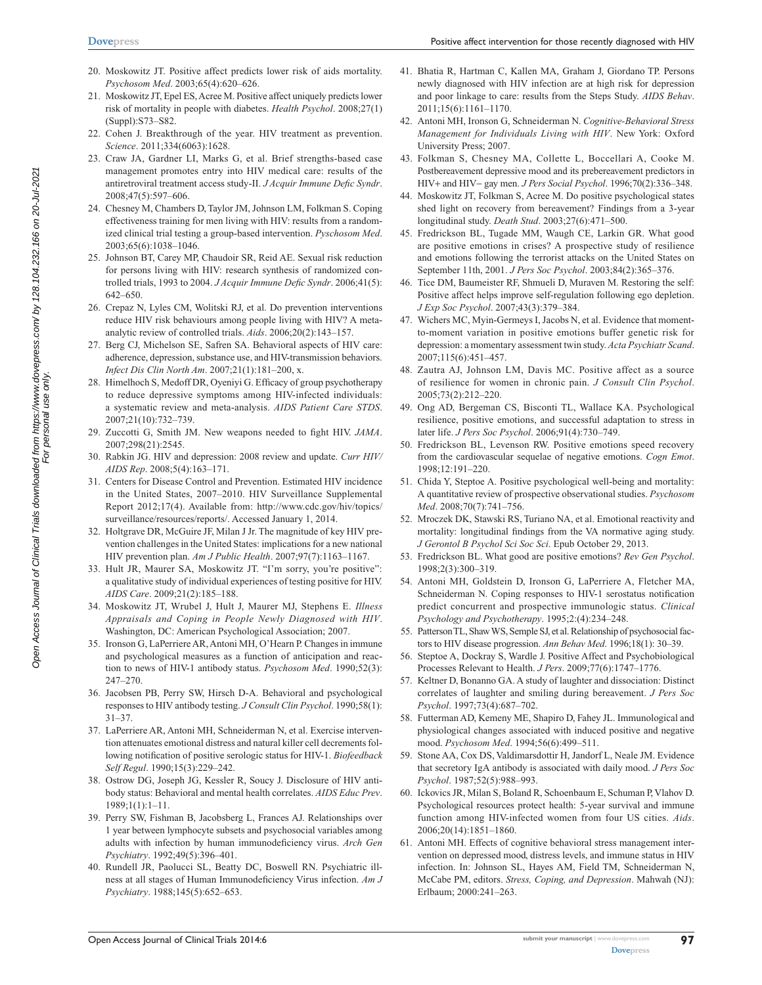- 20. Moskowitz JT. Positive affect predicts lower risk of aids mortality. *Psychosom Med*. 2003;65(4):620–626.
- 21. Moskowitz JT, Epel ES, Acree M. Positive affect uniquely predicts lower risk of mortality in people with diabetes. *Health Psychol*. 2008;27(1) (Suppl):S73–S82.
- 22. Cohen J. Breakthrough of the year. HIV treatment as prevention. *Science*. 2011;334(6063):1628.
- 23. Craw JA, Gardner LI, Marks G, et al. Brief strengths-based case management promotes entry into HIV medical care: results of the antiretroviral treatment access study-II. *J Acquir Immune Defic Syndr*. 2008;47(5):597–606.
- 24. Chesney M, Chambers D, Taylor JM, Johnson LM, Folkman S. Coping effectiveness training for men living with HIV: results from a randomized clinical trial testing a group-based intervention. *Pyschosom Med*. 2003;65(6):1038–1046.
- 25. Johnson BT, Carey MP, Chaudoir SR, Reid AE. Sexual risk reduction for persons living with HIV: research synthesis of randomized controlled trials, 1993 to 2004. *J Acquir Immune Defic Syndr*. 2006;41(5): 642–650.
- 26. Crepaz N, Lyles CM, Wolitski RJ, et al. Do prevention interventions reduce HIV risk behaviours among people living with HIV? A metaanalytic review of controlled trials. *Aids*. 2006;20(2):143–157.
- 27. Berg CJ, Michelson SE, Safren SA. Behavioral aspects of HIV care: adherence, depression, substance use, and HIV-transmission behaviors. *Infect Dis Clin North Am*. 2007;21(1):181–200, x.
- 28. Himelhoch S, Medoff DR, Oyeniyi G. Efficacy of group psychotherapy to reduce depressive symptoms among HIV-infected individuals: a systematic review and meta-analysis. *AIDS Patient Care STDS*. 2007;21(10):732–739.
- 29. Zuccotti G, Smith JM. New weapons needed to fight HIV. *JAMA*. 2007;298(21):2545.
- 30. Rabkin JG. HIV and depression: 2008 review and update. *Curr HIV/ AIDS Rep*. 2008;5(4):163–171.
- 31. Centers for Disease Control and Prevention. Estimated HIV incidence in the United States, 2007–2010. HIV Surveillance Supplemental Report 2012;17(4). Available from: [http://www.cdc.gov/hiv/topics/](http://www.cdc.gov/hiv/topics/ surveillance/resources/reports/) [surveillance/resources/reports/.](http://www.cdc.gov/hiv/topics/ surveillance/resources/reports/) Accessed January 1, 2014.
- 32. Holtgrave DR, McGuire JF, Milan J Jr. The magnitude of key HIV prevention challenges in the United States: implications for a new national HIV prevention plan. *Am J Public Health*. 2007;97(7):1163–1167.
- 33. Hult JR, Maurer SA, Moskowitz JT. "I'm sorry, you're positive": a qualitative study of individual experiences of testing positive for HIV. *AIDS Care*. 2009;21(2):185–188.
- 34. Moskowitz JT, Wrubel J, Hult J, Maurer MJ, Stephens E. *Illness Appraisals and Coping in People Newly Diagnosed with HIV*. Washington, DC: American Psychological Association; 2007.
- 35. Ironson G, LaPerriere AR, Antoni MH, O'Hearn P. Changes in immune and psychological measures as a function of anticipation and reaction to news of HIV-1 antibody status. *Psychosom Med*. 1990;52(3): 247–270.
- 36. Jacobsen PB, Perry SW, Hirsch D-A. Behavioral and psychological responses to HIV antibody testing. *J Consult Clin Psychol*. 1990;58(1): 31–37.
- 37. LaPerriere AR, Antoni MH, Schneiderman N, et al. Exercise intervention attenuates emotional distress and natural killer cell decrements following notification of positive serologic status for HIV-1. *Biofeedback Self Regul*. 1990;15(3):229–242.
- 38. Ostrow DG, Joseph JG, Kessler R, Soucy J. Disclosure of HIV antibody status: Behavioral and mental health correlates. *AIDS Educ Prev*.  $1989 \cdot 1(1) \cdot 1 - 11$ .
- 39. Perry SW, Fishman B, Jacobsberg L, Frances AJ. Relationships over 1 year between lymphocyte subsets and psychosocial variables among adults with infection by human immunodeficiency virus. *Arch Gen Psychiatry*. 1992;49(5):396–401.
- 40. Rundell JR, Paolucci SL, Beatty DC, Boswell RN. Psychiatric illness at all stages of Human Immunodeficiency Virus infection. *Am J Psychiatry*. 1988;145(5):652–653.
- 41. Bhatia R, Hartman C, Kallen MA, Graham J, Giordano TP. Persons newly diagnosed with HIV infection are at high risk for depression and poor linkage to care: results from the Steps Study. *AIDS Behav*. 2011;15(6):1161–1170.
- 42. Antoni MH, Ironson G, Schneiderman N. *Cognitive-Behavioral Stress Management for Individuals Living with HIV*. New York: Oxford University Press; 2007.
- 43. Folkman S, Chesney MA, Collette L, Boccellari A, Cooke M. Postbereavement depressive mood and its prebereavement predictors in HIV+ and HIV- gay men. *J Pers Social Psychol*. 1996;70(2):336–348.
- 44. Moskowitz JT, Folkman S, Acree M. Do positive psychological states shed light on recovery from bereavement? Findings from a 3-year longitudinal study. *Death Stud*. 2003;27(6):471–500.
- 45. Fredrickson BL, Tugade MM, Waugh CE, Larkin GR. What good are positive emotions in crises? A prospective study of resilience and emotions following the terrorist attacks on the United States on September 11th, 2001. *J Pers Soc Psychol*. 2003;84(2):365–376.
- 46. Tice DM, Baumeister RF, Shmueli D, Muraven M. Restoring the self: Positive affect helps improve self-regulation following ego depletion. *J Exp Soc Psychol*. 2007;43(3):379–384.
- 47. Wichers MC, Myin-Germeys I, Jacobs N, et al. Evidence that momentto-moment variation in positive emotions buffer genetic risk for depression: a momentary assessment twin study. *Acta Psychiatr Scand*. 2007;115(6):451–457.
- 48. Zautra AJ, Johnson LM, Davis MC. Positive affect as a source of resilience for women in chronic pain. *J Consult Clin Psychol*. 2005;73(2):212–220.
- 49. Ong AD, Bergeman CS, Bisconti TL, Wallace KA. Psychological resilience, positive emotions, and successful adaptation to stress in later life. *J Pers Soc Psychol*. 2006;91(4):730–749.
- 50. Fredrickson BL, Levenson RW. Positive emotions speed recovery from the cardiovascular sequelae of negative emotions. *Cogn Emot*. 1998;12:191–220.
- 51. Chida Y, Steptoe A. Positive psychological well-being and mortality: A quantitative review of prospective observational studies. *Psychosom Med*. 2008;70(7):741–756.
- 52. Mroczek DK, Stawski RS, Turiano NA, et al. Emotional reactivity and mortality: longitudinal findings from the VA normative aging study. *J Gerontol B Psychol Sci Soc Sci*. Epub October 29, 2013.
- 53. Fredrickson BL. What good are positive emotions? *Rev Gen Psychol*. 1998;2(3):300–319.
- 54. Antoni MH, Goldstein D, Ironson G, LaPerriere A, Fletcher MA, Schneiderman N. Coping responses to HIV-1 serostatus notification predict concurrent and prospective immunologic status. *Clinical Psychology and Psychotherapy*. 1995;2:(4):234–248.
- 55. Patterson TL, Shaw WS, Semple SJ, et al. Relationship of psychosocial factors to HIV disease progression. *Ann Behav Med*. 1996;18(1): 30–39.
- 56. Steptoe A, Dockray S, Wardle J. Positive Affect and Psychobiological Processes Relevant to Health. *J Pers*. 2009;77(6):1747–1776.
- 57. Keltner D, Bonanno GA. A study of laughter and dissociation: Distinct correlates of laughter and smiling during bereavement. *J Pers Soc Psychol*. 1997;73(4):687–702.
- 58. Futterman AD, Kemeny ME, Shapiro D, Fahey JL. Immunological and physiological changes associated with induced positive and negative mood. *Psychosom Med*. 1994;56(6):499–511.
- 59. Stone AA, Cox DS, Valdimarsdottir H, Jandorf L, Neale JM. Evidence that secretory IgA antibody is associated with daily mood. *J Pers Soc Psychol*. 1987;52(5):988–993.
- 60. Ickovics JR, Milan S, Boland R, Schoenbaum E, Schuman P, Vlahov D. Psychological resources protect health: 5-year survival and immune function among HIV-infected women from four US cities. *Aids*. 2006;20(14):1851–1860.
- 61. Antoni MH. Effects of cognitive behavioral stress management intervention on depressed mood, distress levels, and immune status in HIV infection. In: Johnson SL, Hayes AM, Field TM, Schneiderman N, McCabe PM, editors. *Stress, Coping, and Depression*. Mahwah (NJ): Erlbaum; 2000:241–263.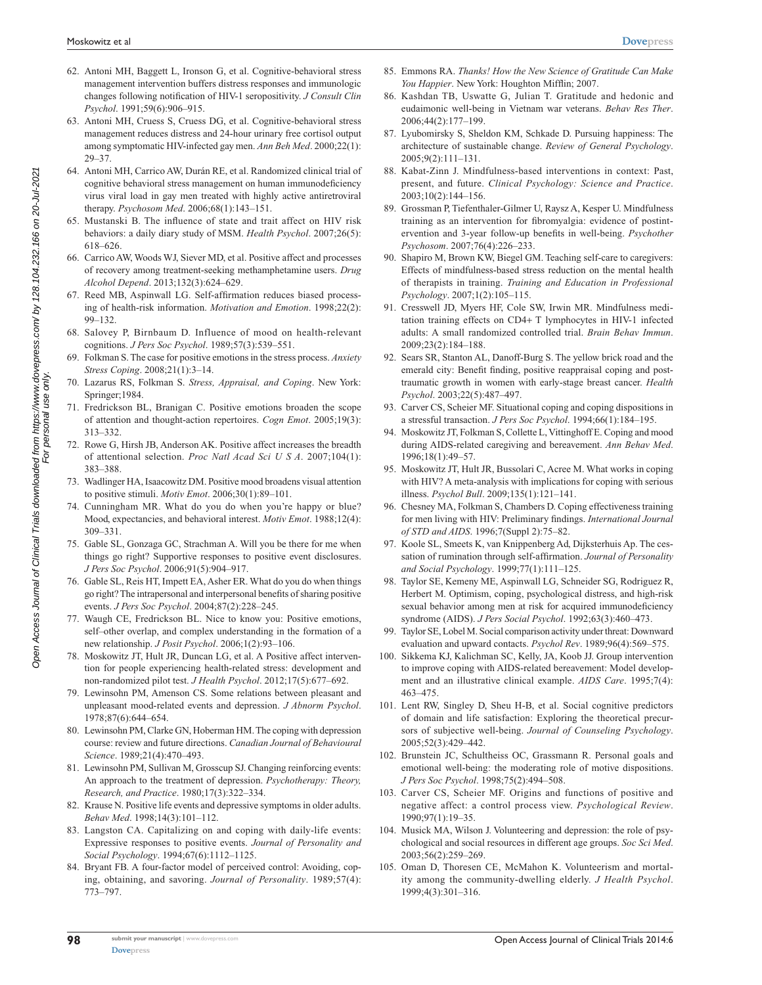Open Access Journal of Clinical Trials downloaded from https://www.dovepress.com/ by 128.104.232.166 on 20-Jul-2021<br>Open Access Journal of Clinical Trials downloaded from https://www.dovepress.com/ by 128.104.232.166 on 20 Open Access Journal of Clinical Trials downloaded from https://www.dovepress.com/ by 128.104.232.166 on 20-Jul-2021 For personal use only.

- 62. Antoni MH, Baggett L, Ironson G, et al. Cognitive-behavioral stress management intervention buffers distress responses and immunologic changes following notification of HIV-1 seropositivity. *J Consult Clin Psychol*. 1991;59(6):906–915.
- 63. Antoni MH, Cruess S, Cruess DG, et al. Cognitive-behavioral stress management reduces distress and 24-hour urinary free cortisol output among symptomatic HIV-infected gay men. *Ann Beh Med*. 2000;22(1): 29–37.
- 64. Antoni MH, Carrico AW, Durán RE, et al. Randomized clinical trial of cognitive behavioral stress management on human immunodeficiency virus viral load in gay men treated with highly active antiretroviral therapy. *Psychosom Med*. 2006;68(1):143–151.
- 65. Mustanski B. The influence of state and trait affect on HIV risk behaviors: a daily diary study of MSM. *Health Psychol*. 2007;26(5): 618–626.
- 66. Carrico AW, Woods WJ, Siever MD, et al. Positive affect and processes of recovery among treatment-seeking methamphetamine users. *Drug Alcohol Depend*. 2013;132(3):624–629.
- 67. Reed MB, Aspinwall LG. Self-affirmation reduces biased processing of health-risk information. *Motivation and Emotion*. 1998;22(2): 99–132.
- 68. Salovey P, Birnbaum D. Influence of mood on health-relevant cognitions. *J Pers Soc Psychol*. 1989;57(3):539–551.
- 69. Folkman S. The case for positive emotions in the stress process. *Anxiety Stress Coping*. 2008;21(1):3–14.
- 70. Lazarus RS, Folkman S. *Stress, Appraisal, and Coping*. New York: Springer;1984.
- 71. Fredrickson BL, Branigan C. Positive emotions broaden the scope of attention and thought-action repertoires. *Cogn Emot*. 2005;19(3): 313–332.
- 72. Rowe G, Hirsh JB, Anderson AK. Positive affect increases the breadth of attentional selection. *Proc Natl Acad Sci U S A*. 2007;104(1): 383–388.
- 73. Wadlinger HA, Isaacowitz DM. Positive mood broadens visual attention to positive stimuli. *Motiv Emot*. 2006;30(1):89–101.
- 74. Cunningham MR. What do you do when you're happy or blue? Mood, expectancies, and behavioral interest. *Motiv Emot*. 1988;12(4): 309–331.
- 75. Gable SL, Gonzaga GC, Strachman A. Will you be there for me when things go right? Supportive responses to positive event disclosures. *J Pers Soc Psychol*. 2006;91(5):904–917.
- 76. Gable SL, Reis HT, Impett EA, Asher ER. What do you do when things go right? The intrapersonal and interpersonal benefits of sharing positive events. *J Pers Soc Psychol*. 2004;87(2):228–245.
- 77. Waugh CE, Fredrickson BL. Nice to know you: Positive emotions, self–other overlap, and complex understanding in the formation of a new relationship. *J Posit Psychol*. 2006;1(2):93–106.
- 78. Moskowitz JT, Hult JR, Duncan LG, et al. A Positive affect intervention for people experiencing health-related stress: development and non-randomized pilot test. *J Health Psychol*. 2012;17(5):677–692.
- 79. Lewinsohn PM, Amenson CS. Some relations between pleasant and unpleasant mood-related events and depression. *J Abnorm Psychol*. 1978;87(6):644–654.
- 80. Lewinsohn PM, Clarke GN, Hoberman HM. The coping with depression course: review and future directions. *Canadian Journal of Behavioural Science*. 1989;21(4):470–493.
- 81. Lewinsohn PM, Sullivan M, Grosscup SJ. Changing reinforcing events: An approach to the treatment of depression. *Psychotherapy: Theory, Research, and Practice*. 1980;17(3):322–334.
- 82. Krause N. Positive life events and depressive symptoms in older adults. *Behav Med*. 1998;14(3):101–112.
- 83. Langston CA. Capitalizing on and coping with daily-life events: Expressive responses to positive events. *Journal of Personality and Social Psychology*. 1994;67(6):1112–1125.
- 84. Bryant FB. A four-factor model of perceived control: Avoiding, coping, obtaining, and savoring. *Journal of Personality*. 1989;57(4): 773–797.
- 85. Emmons RA. *Thanks! How the New Science of Gratitude Can Make You Happier*. New York: Houghton Mifflin; 2007.
- 86. Kashdan TB, Uswatte G, Julian T. Gratitude and hedonic and eudaimonic well-being in Vietnam war veterans. *Behav Res Ther*. 2006;44(2):177–199.
- 87. Lyubomirsky S, Sheldon KM, Schkade D. Pursuing happiness: The architecture of sustainable change. *Review of General Psychology*. 2005;9(2):111–131.
- 88. Kabat-Zinn J. Mindfulness-based interventions in context: Past, present, and future. *Clinical Psychology: Science and Practice*. 2003;10(2):144–156.
- 89. Grossman P, Tiefenthaler-Gilmer U, Raysz A, Kesper U. Mindfulness training as an intervention for fibromyalgia: evidence of postintervention and 3-year follow-up benefits in well-being. *Psychother Psychosom*. 2007;76(4):226–233.
- 90. Shapiro M, Brown KW, Biegel GM. Teaching self-care to caregivers: Effects of mindfulness-based stress reduction on the mental health of therapists in training. *Training and Education in Professional Psychology*. 2007;1(2):105–115.
- 91. Cresswell JD, Myers HF, Cole SW, Irwin MR. Mindfulness meditation training effects on CD4+ T lymphocytes in HIV-1 infected adults: A small randomized controlled trial. *Brain Behav Immun*. 2009;23(2):184–188.
- 92. Sears SR, Stanton AL, Danoff-Burg S. The yellow brick road and the emerald city: Benefit finding, positive reappraisal coping and posttraumatic growth in women with early-stage breast cancer. *Health Psychol*. 2003;22(5):487–497.
- 93. Carver CS, Scheier MF. Situational coping and coping dispositions in a stressful transaction. *J Pers Soc Psychol*. 1994;66(1):184–195.
- 94. Moskowitz JT, Folkman S, Collette L, Vittinghoff E. Coping and mood during AIDS-related caregiving and bereavement. *Ann Behav Med*. 1996;18(1):49–57.
- 95. Moskowitz JT, Hult JR, Bussolari C, Acree M. What works in coping with HIV? A meta-analysis with implications for coping with serious illness. *Psychol Bull*. 2009;135(1):121–141.
- 96. Chesney MA, Folkman S, Chambers D. Coping effectiveness training for men living with HIV: Preliminary findings. *International Journal of STD and AIDS*. 1996;7(Suppl 2):75–82.
- 97. Koole SL, Smeets K, van Knippenberg Ad, Dijksterhuis Ap. The cessation of rumination through self-affirmation. *Journal of Personality and Social Psychology*. 1999;77(1):111–125.
- 98. Taylor SE, Kemeny ME, Aspinwall LG, Schneider SG, Rodriguez R, Herbert M. Optimism, coping, psychological distress, and high-risk sexual behavior among men at risk for acquired immunodeficiency syndrome (AIDS). *J Pers Social Psychol*. 1992;63(3):460–473.
- 99. Taylor SE, Lobel M. Social comparison activity under threat: Downward evaluation and upward contacts. *Psychol Rev*. 1989;96(4):569–575.
- 100. Sikkema KJ, Kalichman SC, Kelly, JA, Koob JJ. Group intervention to improve coping with AIDS-related bereavement: Model development and an illustrative clinical example. *AIDS Care*. 1995;7(4): 463–475.
- 101. Lent RW, Singley D, Sheu H-B, et al. Social cognitive predictors of domain and life satisfaction: Exploring the theoretical precursors of subjective well-being. *Journal of Counseling Psychology*. 2005;52(3):429–442.
- 102. Brunstein JC, Schultheiss OC, Grassmann R. Personal goals and emotional well-being: the moderating role of motive dispositions. *J Pers Soc Psychol*. 1998;75(2):494–508.
- 103. Carver CS, Scheier MF. Origins and functions of positive and negative affect: a control process view. *Psychological Review*. 1990;97(1):19–35.
- 104. Musick MA, Wilson J. Volunteering and depression: the role of psychological and social resources in different age groups. *Soc Sci Med*. 2003;56(2):259–269.
- 105. Oman D, Thoresen CE, McMahon K. Volunteerism and mortality among the community-dwelling elderly. *J Health Psychol*. 1999;4(3):301–316.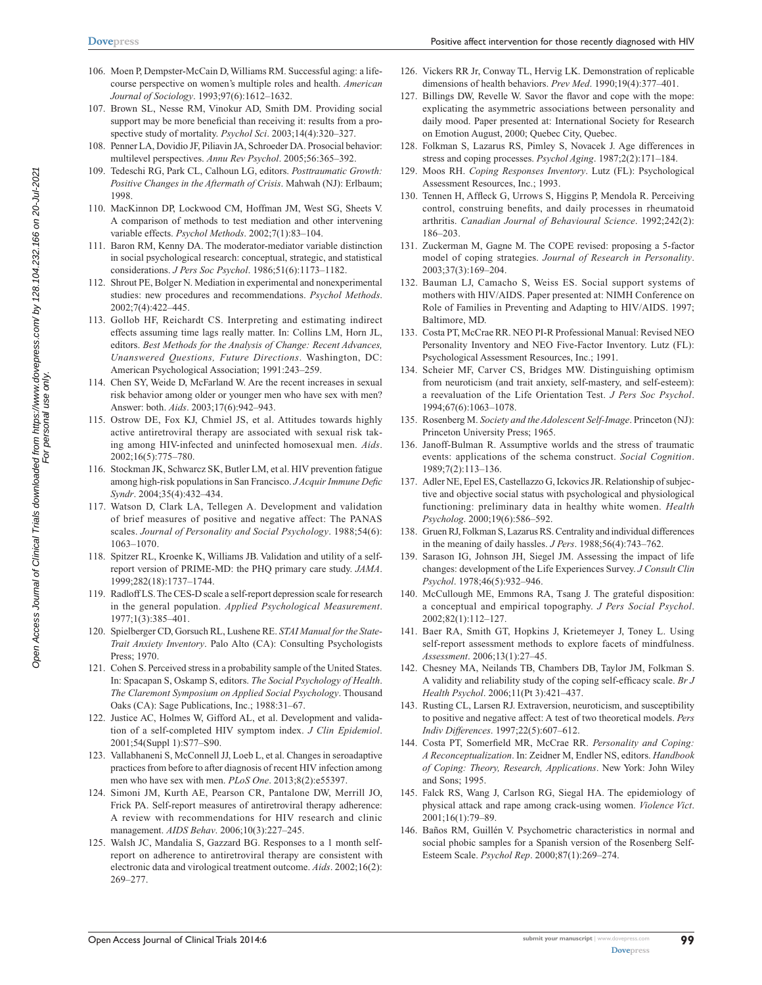- **[Dovepress](www.dovepress.com)**
- 106. Moen P, Dempster-McCain D, Williams RM. Successful aging: a lifecourse perspective on women's multiple roles and health. *American Journal of Sociology*. 1993;97(6):1612–1632.
- 107. Brown SL, Nesse RM, Vinokur AD, Smith DM. Providing social support may be more beneficial than receiving it: results from a prospective study of mortality. *Psychol Sci*. 2003;14(4):320–327.
- 108. Penner LA, Dovidio JF, Piliavin JA, Schroeder DA. Prosocial behavior: multilevel perspectives. *Annu Rev Psychol*. 2005;56:365–392.
- 109. Tedeschi RG, Park CL, Calhoun LG, editors. *Posttraumatic Growth: Positive Changes in the Aftermath of Crisis*. Mahwah (NJ): Erlbaum; 1998.
- 110. MacKinnon DP, Lockwood CM, Hoffman JM, West SG, Sheets V. A comparison of methods to test mediation and other intervening variable effects. *Psychol Methods*. 2002;7(1):83–104.
- 111. Baron RM, Kenny DA. The moderator-mediator variable distinction in social psychological research: conceptual, strategic, and statistical considerations. *J Pers Soc Psychol*. 1986;51(6):1173–1182.
- 112. Shrout PE, Bolger N. Mediation in experimental and nonexperimental studies: new procedures and recommendations. *Psychol Methods*. 2002;7(4):422–445.
- 113. Gollob HF, Reichardt CS. Interpreting and estimating indirect effects assuming time lags really matter. In: Collins LM, Horn JL, editors. *Best Methods for the Analysis of Change: Recent Advances, Unanswered Questions, Future Directions*. Washington, DC: American Psychological Association; 1991:243–259.
- 114. Chen SY, Weide D, McFarland W. Are the recent increases in sexual risk behavior among older or younger men who have sex with men? Answer: both. *Aids*. 2003;17(6):942–943.
- 115. Ostrow DE, Fox KJ, Chmiel JS, et al. Attitudes towards highly active antiretroviral therapy are associated with sexual risk taking among HIV-infected and uninfected homosexual men. *Aids*. 2002;16(5):775–780.
- 116. Stockman JK, Schwarcz SK, Butler LM, et al. HIV prevention fatigue among high-risk populations in San Francisco. *J Acquir Immune Defic Syndr*. 2004;35(4):432–434.
- 117. Watson D, Clark LA, Tellegen A. Development and validation of brief measures of positive and negative affect: The PANAS scales. *Journal of Personality and Social Psychology*. 1988;54(6): 1063–1070.
- 118. Spitzer RL, Kroenke K, Williams JB. Validation and utility of a selfreport version of PRIME-MD: the PHQ primary care study. *JAMA*. 1999;282(18):1737–1744.
- 119. Radloff LS. The CES-D scale a self-report depression scale for research in the general population. *Applied Psychological Measurement*. 1977;1(3):385–401.
- 120. Spielberger CD, Gorsuch RL, Lushene RE. *STAI Manual for the State-Trait Anxiety Inventory*. Palo Alto (CA): Consulting Psychologists Press; 1970.
- 121. Cohen S. Perceived stress in a probability sample of the United States. In: Spacapan S, Oskamp S, editors. *The Social Psychology of Health*. *The Claremont Symposium on Applied Social Psychology*. Thousand Oaks (CA): Sage Publications, Inc.; 1988:31–67.
- 122. Justice AC, Holmes W, Gifford AL, et al. Development and validation of a self-completed HIV symptom index. *J Clin Epidemiol*. 2001;54(Suppl 1):S77–S90.
- 123. Vallabhaneni S, McConnell JJ, Loeb L, et al. Changes in seroadaptive practices from before to after diagnosis of recent HIV infection among men who have sex with men. *PLoS One*. 2013;8(2):e55397.
- 124. Simoni JM, Kurth AE, Pearson CR, Pantalone DW, Merrill JO, Frick PA. Self-report measures of antiretroviral therapy adherence: A review with recommendations for HIV research and clinic management. *AIDS Behav*. 2006;10(3):227–245.
- 125. Walsh JC, Mandalia S, Gazzard BG. Responses to a 1 month selfreport on adherence to antiretroviral therapy are consistent with electronic data and virological treatment outcome. *Aids*. 2002;16(2): 269–277.
- 126. Vickers RR Jr, Conway TL, Hervig LK. Demonstration of replicable dimensions of health behaviors. *Prev Med*. 1990;19(4):377–401.
- 127. Billings DW, Revelle W. Savor the flavor and cope with the mope: explicating the asymmetric associations between personality and daily mood. Paper presented at: International Society for Research on Emotion August, 2000; Quebec City, Quebec.
- 128. Folkman S, Lazarus RS, Pimley S, Novacek J. Age differences in stress and coping processes. *Psychol Aging*. 1987;2(2):171–184.
- 129. Moos RH. *Coping Responses Inventory*. Lutz (FL): Psychological Assessment Resources, Inc.; 1993.
- 130. Tennen H, Affleck G, Urrows S, Higgins P, Mendola R. Perceiving control, construing benefits, and daily processes in rheumatoid arthritis. *Canadian Journal of Behavioural Science*. 1992;242(2): 186–203.
- 131. Zuckerman M, Gagne M. The COPE revised: proposing a 5-factor model of coping strategies. *Journal of Research in Personality*. 2003;37(3):169–204.
- 132. Bauman LJ, Camacho S, Weiss ES. Social support systems of mothers with HIV/AIDS. Paper presented at: NIMH Conference on Role of Families in Preventing and Adapting to HIV/AIDS. 1997; Baltimore, MD.
- 133. Costa PT, McCrae RR. NEO PI-R Professional Manual: Revised NEO Personality Inventory and NEO Five-Factor Inventory. Lutz (FL): Psychological Assessment Resources, Inc.; 1991.
- 134. Scheier MF, Carver CS, Bridges MW. Distinguishing optimism from neuroticism (and trait anxiety, self-mastery, and self-esteem): a reevaluation of the Life Orientation Test. *J Pers Soc Psychol*. 1994;67(6):1063–1078.
- 135. Rosenberg M. *Society and the Adolescent Self-Image*. Princeton (NJ): Princeton University Press; 1965.
- 136. Janoff-Bulman R. Assumptive worlds and the stress of traumatic events: applications of the schema construct. *Social Cognition*. 1989;7(2):113–136.
- 137. Adler NE, Epel ES, Castellazzo G, Ickovics JR. Relationship of subjective and objective social status with psychological and physiological functioning: preliminary data in healthy white women. *Health Psycholog*. 2000;19(6):586–592.
- 138. Gruen RJ, Folkman S, Lazarus RS. Centrality and individual differences in the meaning of daily hassles. *J Pers*. 1988;56(4):743–762.
- 139. Sarason IG, Johnson JH, Siegel JM. Assessing the impact of life changes: development of the Life Experiences Survey. *J Consult Clin Psychol*. 1978;46(5):932–946.
- 140. McCullough ME, Emmons RA, Tsang J. The grateful disposition: a conceptual and empirical topography. *J Pers Social Psychol*. 2002;82(1):112–127.
- 141. Baer RA, Smith GT, Hopkins J, Krietemeyer J, Toney L. Using self-report assessment methods to explore facets of mindfulness. *Assessment*. 2006;13(1):27–45.
- 142. Chesney MA, Neilands TB, Chambers DB, Taylor JM, Folkman S. A validity and reliability study of the coping self-efficacy scale. *Br J Health Psychol*. 2006;11(Pt 3):421–437.
- 143. Rusting CL, Larsen RJ. Extraversion, neuroticism, and susceptibility to positive and negative affect: A test of two theoretical models. *Pers Indiv Differences*. 1997;22(5):607–612.
- 144. Costa PT, Somerfield MR, McCrae RR. *Personality and Coping: A Reconceptualization*. In: Zeidner M, Endler NS, editors. *Handbook of Coping: Theory, Research, Applications*. New York: John Wiley and Sons; 1995.
- 145. Falck RS, Wang J, Carlson RG, Siegal HA. The epidemiology of physical attack and rape among crack-using women. *Violence Vict*. 2001;16(1):79–89.
- 146. Baños RM, Guillén V. Psychometric characteristics in normal and social phobic samples for a Spanish version of the Rosenberg Self-Esteem Scale. *Psychol Rep*. 2000;87(1):269–274.